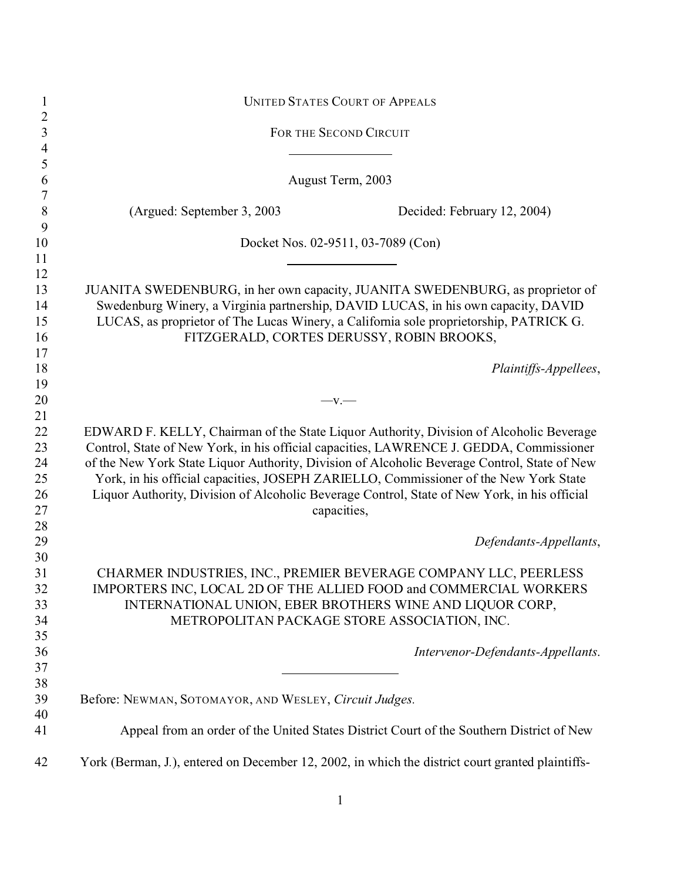| $\mathbf{1}$        |                                                        | <b>UNITED STATES COURT OF APPEALS</b>                                                            |
|---------------------|--------------------------------------------------------|--------------------------------------------------------------------------------------------------|
| $\overline{2}$      |                                                        | FOR THE SECOND CIRCUIT                                                                           |
| $\mathfrak{Z}$      |                                                        |                                                                                                  |
| $\overline{4}$<br>5 |                                                        |                                                                                                  |
| 6                   |                                                        | August Term, 2003                                                                                |
| $\boldsymbol{7}$    |                                                        |                                                                                                  |
| 8                   | (Argued: September 3, 2003)                            | Decided: February 12, 2004)                                                                      |
| 9<br>10             |                                                        | Docket Nos. 02-9511, 03-7089 (Con)                                                               |
| 11                  |                                                        |                                                                                                  |
| 12                  |                                                        |                                                                                                  |
| 13                  |                                                        | JUANITA SWEDENBURG, in her own capacity, JUANITA SWEDENBURG, as proprietor of                    |
| 14                  |                                                        | Swedenburg Winery, a Virginia partnership, DAVID LUCAS, in his own capacity, DAVID               |
| 15                  |                                                        | LUCAS, as proprietor of The Lucas Winery, a California sole proprietorship, PATRICK G.           |
| 16                  |                                                        | FITZGERALD, CORTES DERUSSY, ROBIN BROOKS,                                                        |
| 17                  |                                                        |                                                                                                  |
| 18                  |                                                        | Plaintiffs-Appellees,                                                                            |
| 19                  |                                                        |                                                                                                  |
| 20                  |                                                        | $-v.$                                                                                            |
| 21                  |                                                        |                                                                                                  |
| 22                  |                                                        | EDWARD F. KELLY, Chairman of the State Liquor Authority, Division of Alcoholic Beverage          |
| 23                  |                                                        | Control, State of New York, in his official capacities, LAWRENCE J. GEDDA, Commissioner          |
| 24                  |                                                        | of the New York State Liquor Authority, Division of Alcoholic Beverage Control, State of New     |
| 25                  |                                                        | York, in his official capacities, JOSEPH ZARIELLO, Commissioner of the New York State            |
| 26                  |                                                        | Liquor Authority, Division of Alcoholic Beverage Control, State of New York, in his official     |
| 27                  |                                                        | capacities,                                                                                      |
| 28                  |                                                        |                                                                                                  |
| 29                  |                                                        | Defendants-Appellants,                                                                           |
| 30                  |                                                        |                                                                                                  |
| 31                  |                                                        | CHARMER INDUSTRIES, INC., PREMIER BEVERAGE COMPANY LLC, PEERLESS                                 |
| 32                  |                                                        | IMPORTERS INC, LOCAL 2D OF THE ALLIED FOOD and COMMERCIAL WORKERS                                |
| 33                  |                                                        | INTERNATIONAL UNION, EBER BROTHERS WINE AND LIQUOR CORP,                                         |
| 34                  |                                                        | METROPOLITAN PACKAGE STORE ASSOCIATION, INC.                                                     |
| 35                  |                                                        |                                                                                                  |
| 36                  |                                                        | Intervenor-Defendants-Appellants.                                                                |
| 37                  |                                                        |                                                                                                  |
| 38                  |                                                        |                                                                                                  |
| 39                  | Before: NEWMAN, SOTOMAYOR, AND WESLEY, Circuit Judges. |                                                                                                  |
| 40                  |                                                        |                                                                                                  |
| 41                  |                                                        | Appeal from an order of the United States District Court of the Southern District of New         |
| 42                  |                                                        | York (Berman, J.), entered on December 12, 2002, in which the district court granted plaintiffs- |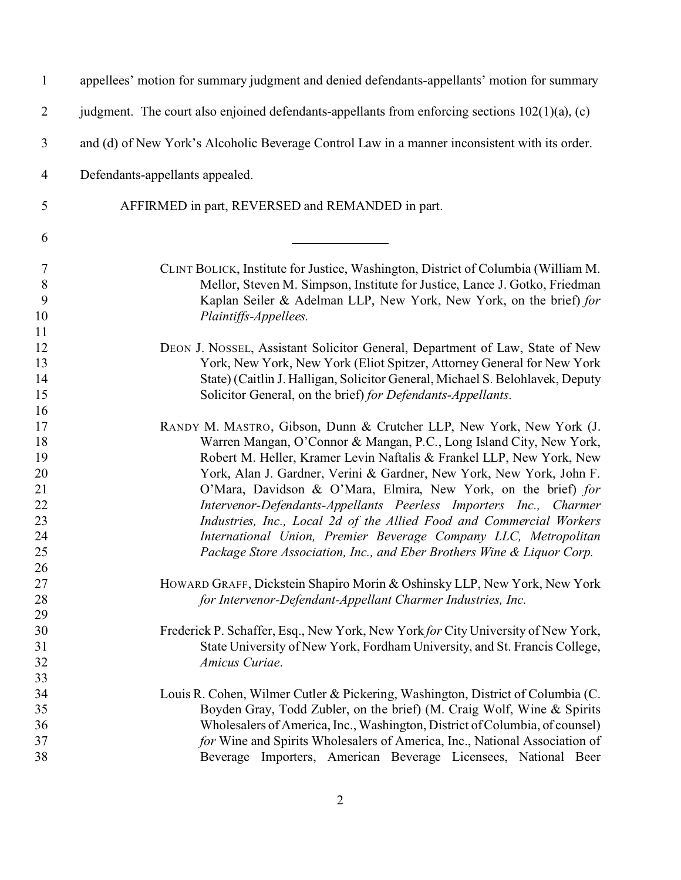| $\mathbf{1}$   | appellees' motion for summary judgment and denied defendants-appellants' motion for summary       |
|----------------|---------------------------------------------------------------------------------------------------|
| $\overline{2}$ | judgment. The court also enjoined defendants-appellants from enforcing sections $102(1)(a)$ , (c) |
| 3              | and (d) of New York's Alcoholic Beverage Control Law in a manner inconsistent with its order.     |
| 4              | Defendants-appellants appealed.                                                                   |
| 5              | AFFIRMED in part, REVERSED and REMANDED in part.                                                  |
| 6              |                                                                                                   |
| 7              | CLINT BOLICK, Institute for Justice, Washington, District of Columbia (William M.                 |
| $8\,$          | Mellor, Steven M. Simpson, Institute for Justice, Lance J. Gotko, Friedman                        |
| 9              | Kaplan Seiler & Adelman LLP, New York, New York, on the brief) for                                |
| 10             | Plaintiffs-Appellees.                                                                             |
| 11             |                                                                                                   |
| 12             | DEON J. NOSSEL, Assistant Solicitor General, Department of Law, State of New                      |
| 13             | York, New York, New York (Eliot Spitzer, Attorney General for New York                            |
| 14             | State) (Caitlin J. Halligan, Solicitor General, Michael S. Belohlavek, Deputy                     |
| 15             | Solicitor General, on the brief) for Defendants-Appellants.                                       |
| 16             |                                                                                                   |
| 17             | RANDY M. MASTRO, Gibson, Dunn & Crutcher LLP, New York, New York (J.                              |
| 18             | Warren Mangan, O'Connor & Mangan, P.C., Long Island City, New York,                               |
| 19             | Robert M. Heller, Kramer Levin Naftalis & Frankel LLP, New York, New                              |
| 20             | York, Alan J. Gardner, Verini & Gardner, New York, New York, John F.                              |
| 21             | O'Mara, Davidson & O'Mara, Elmira, New York, on the brief) for                                    |
| 22             | Intervenor-Defendants-Appellants Peerless Importers Inc., Charmer                                 |
| 23             | Industries, Inc., Local 2d of the Allied Food and Commercial Workers                              |
| 24             | International Union, Premier Beverage Company LLC, Metropolitan                                   |
| 25             | Package Store Association, Inc., and Eber Brothers Wine & Liquor Corp.                            |
| 26             |                                                                                                   |
| 27             | HOWARD GRAFF, Dickstein Shapiro Morin & Oshinsky LLP, New York, New York                          |
| 28             | for Intervenor-Defendant-Appellant Charmer Industries, Inc.                                       |
| 29             |                                                                                                   |
| 30             | Frederick P. Schaffer, Esq., New York, New York for City University of New York,                  |
| 31             | State University of New York, Fordham University, and St. Francis College,                        |
| 32             | Amicus Curiae.                                                                                    |
| 33             |                                                                                                   |
|                |                                                                                                   |
| 34             | Louis R. Cohen, Wilmer Cutler & Pickering, Washington, District of Columbia (C.                   |
| 35             | Boyden Gray, Todd Zubler, on the brief) (M. Craig Wolf, Wine & Spirits                            |
| 36             | Wholesalers of America, Inc., Washington, District of Columbia, of counsel)                       |
| 37             | for Wine and Spirits Wholesalers of America, Inc., National Association of                        |
| 38             | Beverage Importers, American Beverage Licensees, National Beer                                    |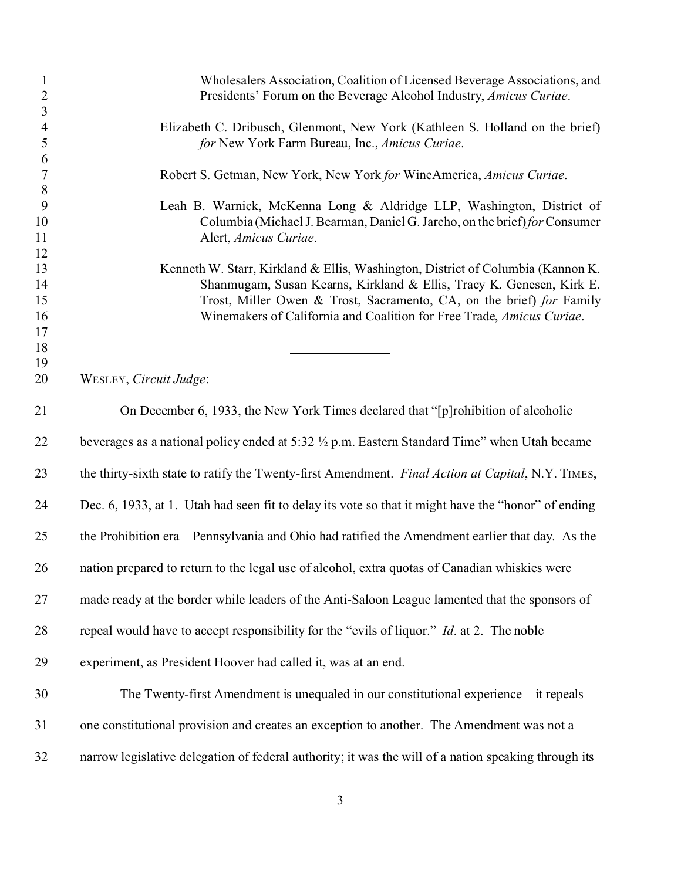| $\mathbf{1}$<br>$\overline{2}$ | Wholesalers Association, Coalition of Licensed Beverage Associations, and<br>Presidents' Forum on the Beverage Alcohol Industry, Amicus Curiae. |
|--------------------------------|-------------------------------------------------------------------------------------------------------------------------------------------------|
| $\overline{\mathbf{3}}$        |                                                                                                                                                 |
| $\overline{4}$                 | Elizabeth C. Dribusch, Glenmont, New York (Kathleen S. Holland on the brief)                                                                    |
| 5                              | for New York Farm Bureau, Inc., Amicus Curiae.                                                                                                  |
| 6                              |                                                                                                                                                 |
| $\overline{7}$                 | Robert S. Getman, New York, New York for WineAmerica, Amicus Curiae.                                                                            |
| $8\,$                          |                                                                                                                                                 |
| 9                              | Leah B. Warnick, McKenna Long & Aldridge LLP, Washington, District of                                                                           |
| 10                             | Columbia (Michael J. Bearman, Daniel G. Jarcho, on the brief) for Consumer                                                                      |
| 11                             | Alert, Amicus Curiae.                                                                                                                           |
| 12                             |                                                                                                                                                 |
| 13                             | Kenneth W. Starr, Kirkland & Ellis, Washington, District of Columbia (Kannon K.                                                                 |
| 14                             | Shanmugam, Susan Kearns, Kirkland & Ellis, Tracy K. Genesen, Kirk E.                                                                            |
| 15                             | Trost, Miller Owen & Trost, Sacramento, CA, on the brief) for Family                                                                            |
| 16                             | Winemakers of California and Coalition for Free Trade, Amicus Curiae.                                                                           |
| 17                             |                                                                                                                                                 |
| 18                             |                                                                                                                                                 |
| 19                             |                                                                                                                                                 |
| 20                             | WESLEY, Circuit Judge:                                                                                                                          |
| 21                             | On December 6, 1933, the New York Times declared that "[p] rohibition of alcoholic                                                              |
|                                |                                                                                                                                                 |
| 22                             | beverages as a national policy ended at 5:32 $\frac{1}{2}$ p.m. Eastern Standard Time" when Utah became                                         |
| 23                             | the thirty-sixth state to ratify the Twenty-first Amendment. Final Action at Capital, N.Y. TIMES,                                               |
| 24                             | Dec. 6, 1933, at 1. Utah had seen fit to delay its vote so that it might have the "honor" of ending                                             |
| 25                             | the Prohibition era – Pennsylvania and Ohio had ratified the Amendment earlier that day. As the                                                 |
| 26                             | nation prepared to return to the legal use of alcohol, extra quotas of Canadian whiskies were                                                   |
| 27                             | made ready at the border while leaders of the Anti-Saloon League lamented that the sponsors of                                                  |
| 28                             | repeal would have to accept responsibility for the "evils of liquor." <i>Id.</i> at 2. The noble                                                |
| 29                             | experiment, as President Hoover had called it, was at an end.                                                                                   |
| 30                             | The Twenty-first Amendment is unequaled in our constitutional experience – it repeals                                                           |
| 31                             | one constitutional provision and creates an exception to another. The Amendment was not a                                                       |
| 32                             | narrow legislative delegation of federal authority; it was the will of a nation speaking through its                                            |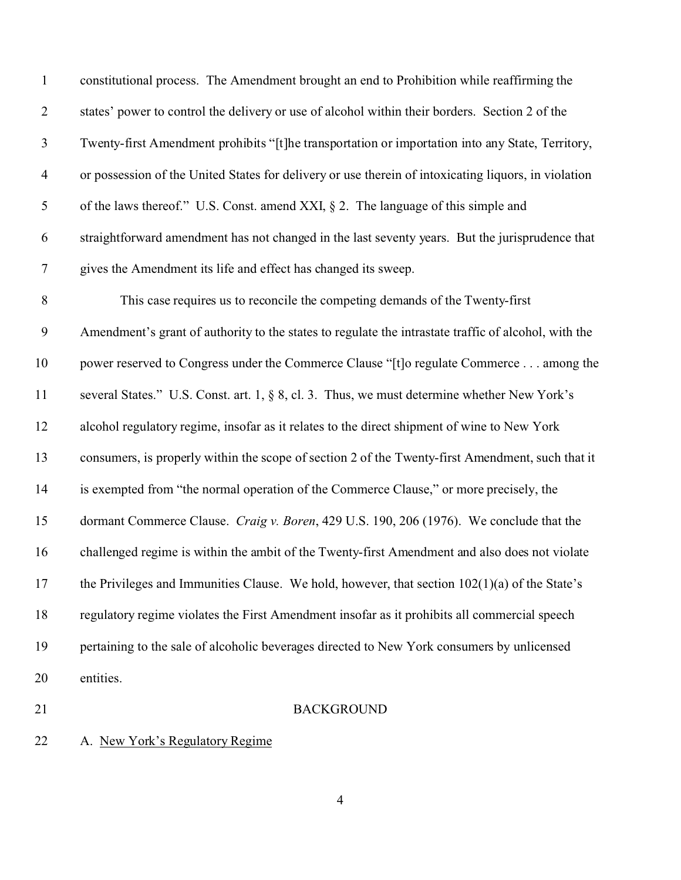| 21               | <b>BACKGROUND</b>                                                                                    |
|------------------|------------------------------------------------------------------------------------------------------|
| 20               | entities.                                                                                            |
| 19               | pertaining to the sale of alcoholic beverages directed to New York consumers by unlicensed           |
| 18               | regulatory regime violates the First Amendment insofar as it prohibits all commercial speech         |
| 17               | the Privileges and Immunities Clause. We hold, however, that section $102(1)(a)$ of the State's      |
| 16               | challenged regime is within the ambit of the Twenty-first Amendment and also does not violate        |
| 15               | dormant Commerce Clause. Craig v. Boren, 429 U.S. 190, 206 (1976). We conclude that the              |
| 14               | is exempted from "the normal operation of the Commerce Clause," or more precisely, the               |
| 13               | consumers, is properly within the scope of section 2 of the Twenty-first Amendment, such that it     |
| 12               | alcohol regulatory regime, insofar as it relates to the direct shipment of wine to New York          |
| 11               | several States." U.S. Const. art. 1, § 8, cl. 3. Thus, we must determine whether New York's          |
| 10               | power reserved to Congress under the Commerce Clause "[t]o regulate Commerce among the               |
| 9                | Amendment's grant of authority to the states to regulate the intrastate traffic of alcohol, with the |
| $8\,$            | This case requires us to reconcile the competing demands of the Twenty-first                         |
| $\boldsymbol{7}$ | gives the Amendment its life and effect has changed its sweep.                                       |
| 6                | straightforward amendment has not changed in the last seventy years. But the jurisprudence that      |
| 5                | of the laws thereof." U.S. Const. amend XXI, $\S$ 2. The language of this simple and                 |
| $\overline{4}$   | or possession of the United States for delivery or use therein of intoxicating liquors, in violation |
| $\mathfrak{Z}$   | Twenty-first Amendment prohibits "[t]he transportation or importation into any State, Territory,     |
| $\overline{2}$   | states' power to control the delivery or use of alcohol within their borders. Section 2 of the       |
| $\mathbf{1}$     | constitutional process. The Amendment brought an end to Prohibition while reaffirming the            |

A. New York's Regulatory Regime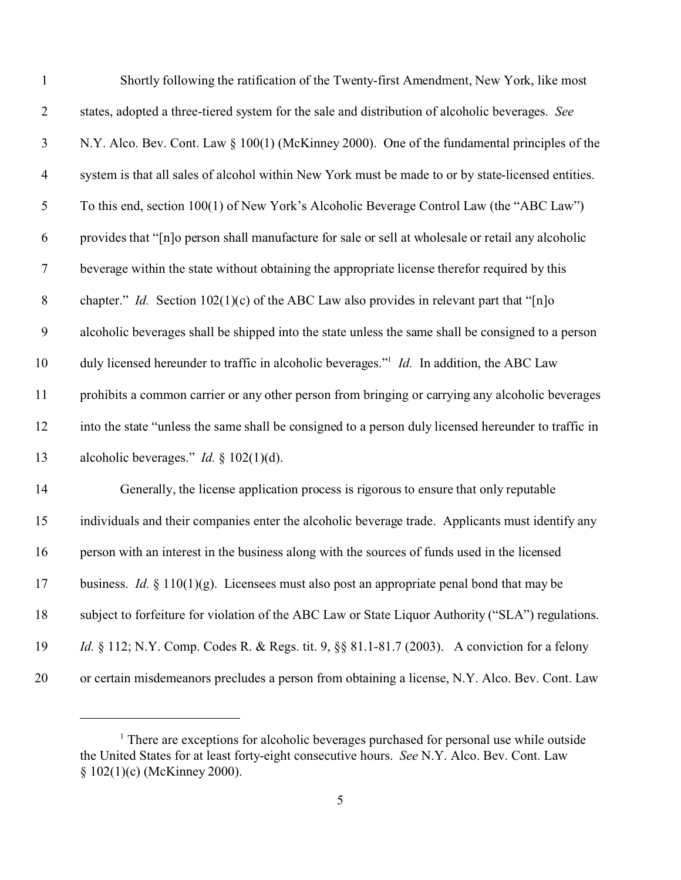| $\mathbf{1}$   | Shortly following the ratification of the Twenty-first Amendment, New York, like most                |
|----------------|------------------------------------------------------------------------------------------------------|
| $\overline{2}$ | states, adopted a three-tiered system for the sale and distribution of alcoholic beverages. See      |
| 3              | N.Y. Alco. Bev. Cont. Law § 100(1) (McKinney 2000). One of the fundamental principles of the         |
| $\overline{4}$ | system is that all sales of alcohol within New York must be made to or by state-licensed entities.   |
| 5              | To this end, section 100(1) of New York's Alcoholic Beverage Control Law (the "ABC Law")             |
| 6              | provides that "[n]o person shall manufacture for sale or sell at wholesale or retail any alcoholic   |
| $\overline{7}$ | beverage within the state without obtaining the appropriate license therefor required by this        |
| $\,8\,$        | chapter." <i>Id.</i> Section $102(1)(c)$ of the ABC Law also provides in relevant part that "[n]o    |
| 9              | alcoholic beverages shall be shipped into the state unless the same shall be consigned to a person   |
| 10             | duly licensed hereunder to traffic in alcoholic beverages." Id. In addition, the ABC Law             |
| 11             | prohibits a common carrier or any other person from bringing or carrying any alcoholic beverages     |
| 12             | into the state "unless the same shall be consigned to a person duly licensed hereunder to traffic in |
| 13             | alcoholic beverages." <i>Id.</i> § 102(1)(d).                                                        |
| 14             | Generally, the license application process is rigorous to ensure that only reputable                 |
| 15             | individuals and their companies enter the alcoholic beverage trade. Applicants must identify any     |
| 16             | person with an interest in the business along with the sources of funds used in the licensed         |
| 17             | business. <i>Id.</i> $\S$ 110(1)(g). Licensees must also post an appropriate penal bond that may be  |
| 18             | subject to forfeiture for violation of the ABC Law or State Liquor Authority ("SLA") regulations.    |
| 19             | <i>Id.</i> § 112; N.Y. Comp. Codes R. & Regs. tit. 9, §§ 81.1-81.7 (2003). A conviction for a felony |
| 20             | or certain misdemeanors precludes a person from obtaining a license, N.Y. Alco. Bev. Cont. Law       |

<sup>&</sup>lt;sup>1</sup> There are exceptions for alcoholic beverages purchased for personal use while outside the United States for at least forty-eight consecutive hours. *See* N.Y. Alco. Bev. Cont. Law § 102(1)(c) (McKinney 2000).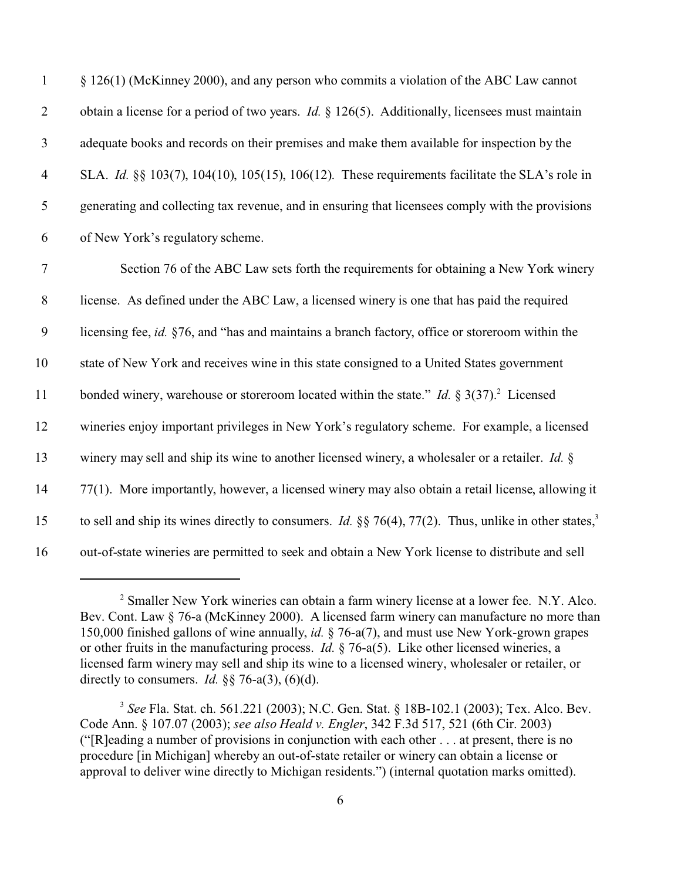| $\mathbf{1}$     | § 126(1) (McKinney 2000), and any person who commits a violation of the ABC Law cannot                                   |
|------------------|--------------------------------------------------------------------------------------------------------------------------|
| $\overline{2}$   | obtain a license for a period of two years. <i>Id.</i> $\S 126(5)$ . Additionally, licensees must maintain               |
| $\mathfrak{Z}$   | adequate books and records on their premises and make them available for inspection by the                               |
| $\overline{4}$   | SLA. Id. §§ 103(7), 104(10), 105(15), 106(12). These requirements facilitate the SLA's role in                           |
| $\sqrt{5}$       | generating and collecting tax revenue, and in ensuring that licensees comply with the provisions                         |
| 6                | of New York's regulatory scheme.                                                                                         |
| $\boldsymbol{7}$ | Section 76 of the ABC Law sets forth the requirements for obtaining a New York winery                                    |
| $\,8\,$          | license. As defined under the ABC Law, a licensed winery is one that has paid the required                               |
| 9                | licensing fee, id. §76, and "has and maintains a branch factory, office or storeroom within the                          |
| 10               | state of New York and receives wine in this state consigned to a United States government                                |
| 11               | bonded winery, warehouse or storeroom located within the state." <i>Id.</i> $\S 3(37)$ . Licensed                        |
| 12               | wineries enjoy important privileges in New York's regulatory scheme. For example, a licensed                             |
| 13               | winery may sell and ship its wine to another licensed winery, a wholesaler or a retailer. Id. §                          |
| 14               | 77(1). More importantly, however, a licensed winery may also obtain a retail license, allowing it                        |
| 15               | to sell and ship its wines directly to consumers. <i>Id.</i> §§ 76(4), 77(2). Thus, unlike in other states, <sup>3</sup> |
| 16               | out-of-state wineries are permitted to seek and obtain a New York license to distribute and sell                         |

<sup>&</sup>lt;sup>2</sup> Smaller New York wineries can obtain a farm winery license at a lower fee. N.Y. Alco. Bev. Cont. Law § 76-a (McKinney 2000). A licensed farm winery can manufacture no more than 150,000 finished gallons of wine annually, *id.* § 76-a(7), and must use New York-grown grapes or other fruits in the manufacturing process. *Id.* § 76-a(5). Like other licensed wineries, a licensed farm winery may sell and ship its wine to a licensed winery, wholesaler or retailer, or directly to consumers. *Id.* §§ 76-a(3), (6)(d).

<sup>3</sup>  *See* Fla. Stat. ch. 561.221 (2003); N.C. Gen. Stat. § 18B-102.1 (2003); Tex. Alco. Bev. Code Ann. § 107.07 (2003); *see also Heald v. Engler*, 342 F.3d 517, 521 (6th Cir. 2003) ("[R]eading a number of provisions in conjunction with each other . . . at present, there is no procedure [in Michigan] whereby an out-of-state retailer or winery can obtain a license or approval to deliver wine directly to Michigan residents.") (internal quotation marks omitted).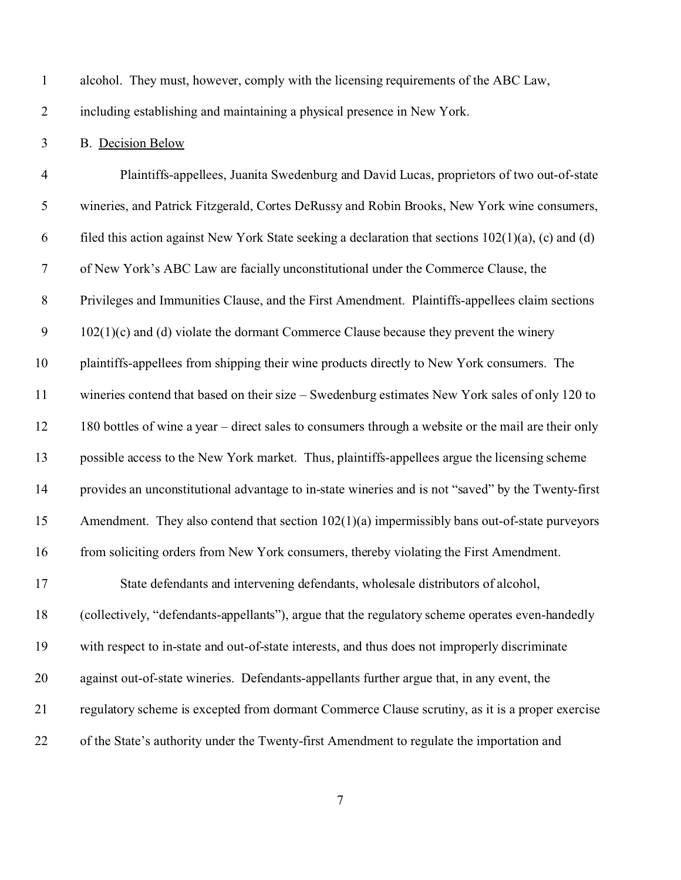alcohol. They must, however, comply with the licensing requirements of the ABC Law,

including establishing and maintaining a physical presence in New York.

B. Decision Below

 Plaintiffs-appellees, Juanita Swedenburg and David Lucas, proprietors of two out-of-state wineries, and Patrick Fitzgerald, Cortes DeRussy and Robin Brooks, New York wine consumers, 6 filed this action against New York State seeking a declaration that sections  $102(1)(a)$ , (c) and (d) of New York's ABC Law are facially unconstitutional under the Commerce Clause, the Privileges and Immunities Clause, and the First Amendment. Plaintiffs-appellees claim sections 9 102(1)(c) and (d) violate the dormant Commerce Clause because they prevent the winery plaintiffs-appellees from shipping their wine products directly to New York consumers. The wineries contend that based on their size – Swedenburg estimates New York sales of only 120 to 180 bottles of wine a year – direct sales to consumers through a website or the mail are their only possible access to the New York market. Thus, plaintiffs-appellees argue the licensing scheme provides an unconstitutional advantage to in-state wineries and is not "saved" by the Twenty-first Amendment. They also contend that section 102(1)(a) impermissibly bans out-of-state purveyors from soliciting orders from New York consumers, thereby violating the First Amendment. State defendants and intervening defendants, wholesale distributors of alcohol, (collectively, "defendants-appellants"), argue that the regulatory scheme operates even-handedly with respect to in-state and out-of-state interests, and thus does not improperly discriminate against out-of-state wineries. Defendants-appellants further argue that, in any event, the regulatory scheme is excepted from dormant Commerce Clause scrutiny, as it is a proper exercise of the State's authority under the Twenty-first Amendment to regulate the importation and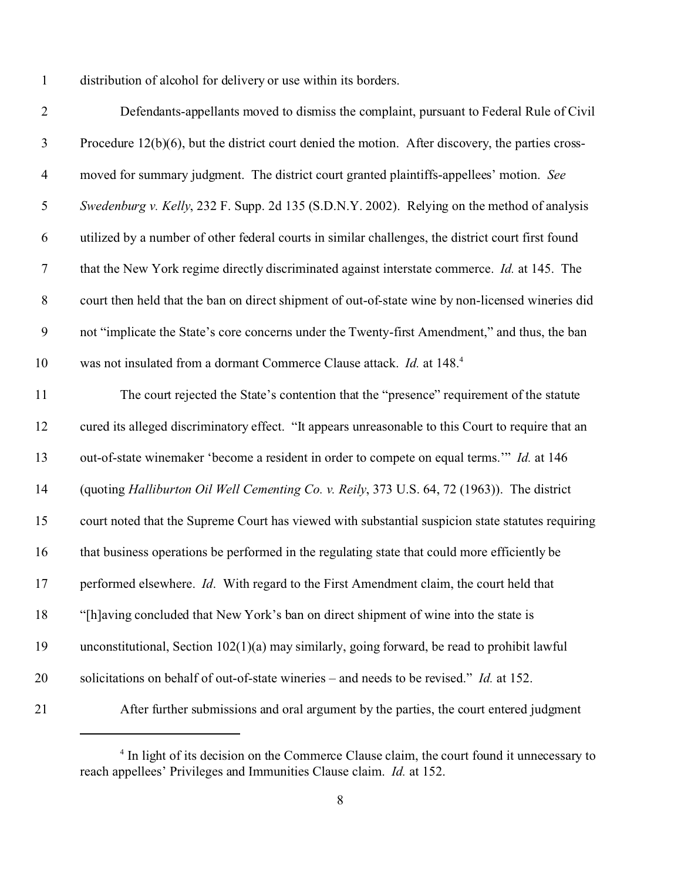distribution of alcohol for delivery or use within its borders.

| $\mathbf{2}$     | Defendants-appellants moved to dismiss the complaint, pursuant to Federal Rule of Civil              |
|------------------|------------------------------------------------------------------------------------------------------|
| $\mathfrak{Z}$   | Procedure $12(b)(6)$ , but the district court denied the motion. After discovery, the parties cross- |
| $\overline{4}$   | moved for summary judgment. The district court granted plaintiffs-appellees' motion. See             |
| 5                | Swedenburg v. Kelly, 232 F. Supp. 2d 135 (S.D.N.Y. 2002). Relying on the method of analysis          |
| 6                | utilized by a number of other federal courts in similar challenges, the district court first found   |
| $\boldsymbol{7}$ | that the New York regime directly discriminated against interstate commerce. <i>Id.</i> at 145. The  |
| $8\,$            | court then held that the ban on direct shipment of out-of-state wine by non-licensed wineries did    |
| 9                | not "implicate the State's core concerns under the Twenty-first Amendment," and thus, the ban        |
| 10               | was not insulated from a dormant Commerce Clause attack. Id. at 148.4                                |
| 11               | The court rejected the State's contention that the "presence" requirement of the statute             |
| 12               | cured its alleged discriminatory effect. "It appears unreasonable to this Court to require that an   |
| 13               | out-of-state winemaker 'become a resident in order to compete on equal terms." Id. at 146            |
| 14               | (quoting Halliburton Oil Well Cementing Co. v. Reily, 373 U.S. 64, 72 (1963)). The district          |
| 15               | court noted that the Supreme Court has viewed with substantial suspicion state statutes requiring    |
| 16               | that business operations be performed in the regulating state that could more efficiently be         |
| 17               | performed elsewhere. Id. With regard to the First Amendment claim, the court held that               |
| 18               | "[h]aving concluded that New York's ban on direct shipment of wine into the state is                 |
| 19               | unconstitutional, Section $102(1)(a)$ may similarly, going forward, be read to prohibit lawful       |
| 20               | solicitations on behalf of out-of-state wineries – and needs to be revised." Id. at 152.             |
| 21               | After further submissions and oral argument by the parties, the court entered judgment               |

<sup>&</sup>lt;sup>4</sup> In light of its decision on the Commerce Clause claim, the court found it unnecessary to reach appellees' Privileges and Immunities Clause claim. *Id.* at 152.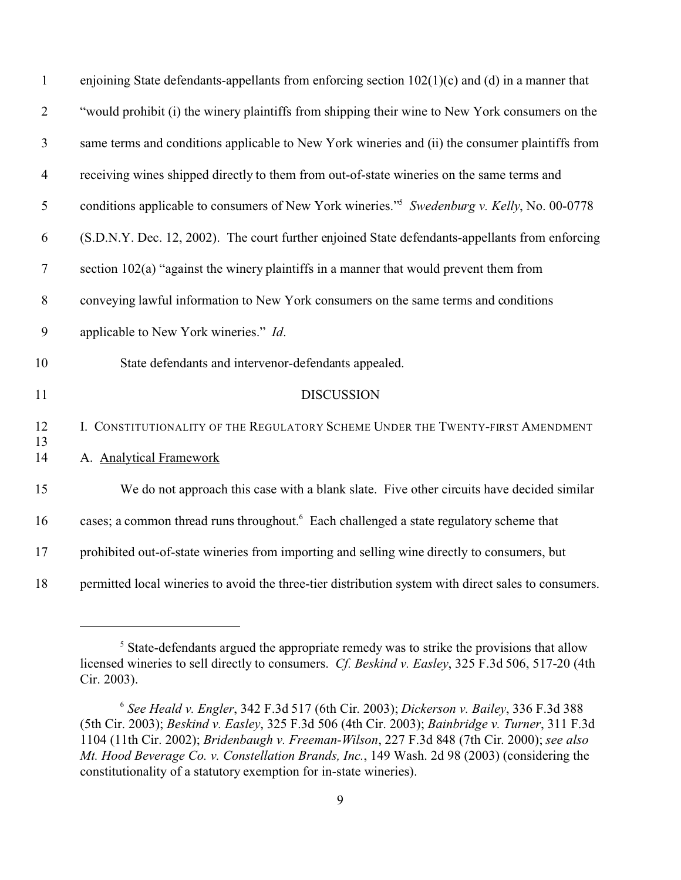| $\mathbf{1}$   | enjoining State defendants-appellants from enforcing section $102(1)(c)$ and (d) in a manner that       |
|----------------|---------------------------------------------------------------------------------------------------------|
| $\overline{2}$ | "would prohibit (i) the winery plaintiffs from shipping their wine to New York consumers on the         |
| 3              | same terms and conditions applicable to New York wineries and (ii) the consumer plaintiffs from         |
| $\overline{4}$ | receiving wines shipped directly to them from out-of-state wineries on the same terms and               |
| $\mathfrak{S}$ | conditions applicable to consumers of New York wineries." <sup>5</sup> Swedenburg v. Kelly, No. 00-0778 |
| 6              | (S.D.N.Y. Dec. 12, 2002). The court further enjoined State defendants-appellants from enforcing         |
| $\tau$         | section 102(a) "against the winery plaintiffs in a manner that would prevent them from                  |
| $8\,$          | conveying lawful information to New York consumers on the same terms and conditions                     |
| 9              | applicable to New York wineries." Id.                                                                   |
| 10             | State defendants and intervenor-defendants appealed.                                                    |
| 11             | <b>DISCUSSION</b>                                                                                       |
| 12             | I. CONSTITUTIONALITY OF THE REGULATORY SCHEME UNDER THE TWENTY-FIRST AMENDMENT                          |
| 13<br>14       | A. Analytical Framework                                                                                 |
| 15             | We do not approach this case with a blank slate. Five other circuits have decided similar               |
| 16             | cases; a common thread runs throughout. <sup>6</sup> Each challenged a state regulatory scheme that     |
| 17             | prohibited out-of-state wineries from importing and selling wine directly to consumers, but             |
| 18             | permitted local wineries to avoid the three-tier distribution system with direct sales to consumers.    |

<sup>&</sup>lt;sup>5</sup> State-defendants argued the appropriate remedy was to strike the provisions that allow licensed wineries to sell directly to consumers. *Cf. Beskind v. Easley*, 325 F.3d 506, 517-20 (4th Cir. 2003).

  *See Heald v. Engler*, 342 F.3d 517 (6th Cir. 2003); *Dickerson v. Bailey*, 336 F.3d 388 (5th Cir. 2003); *Beskind v. Easley*, 325 F.3d 506 (4th Cir. 2003); *Bainbridge v. Turner*, 311 F.3d 1104 (11th Cir. 2002); *Bridenbaugh v. Freeman-Wilson*, 227 F.3d 848 (7th Cir. 2000); *see also Mt. Hood Beverage Co. v. Constellation Brands, Inc.*, 149 Wash. 2d 98 (2003) (considering the constitutionality of a statutory exemption for in-state wineries).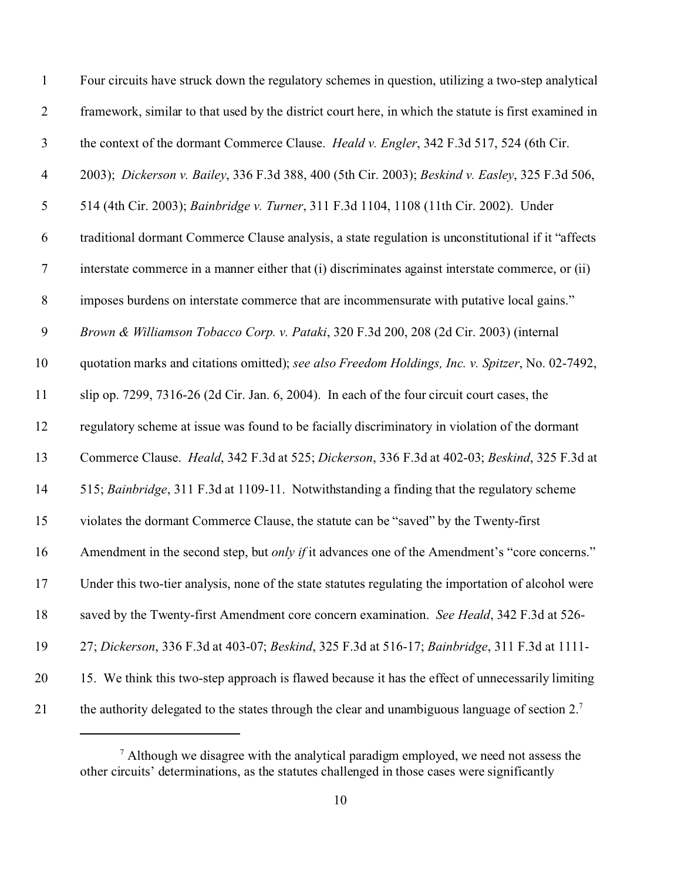| $\mathbf{1}$     | Four circuits have struck down the regulatory schemes in question, utilizing a two-step analytical          |
|------------------|-------------------------------------------------------------------------------------------------------------|
| $\overline{2}$   | framework, similar to that used by the district court here, in which the statute is first examined in       |
| $\mathfrak{Z}$   | the context of the dormant Commerce Clause. Heald v. Engler, 342 F.3d 517, 524 (6th Cir.                    |
| $\overline{4}$   | 2003); Dickerson v. Bailey, 336 F.3d 388, 400 (5th Cir. 2003); Beskind v. Easley, 325 F.3d 506,             |
| $\mathfrak{S}$   | 514 (4th Cir. 2003); Bainbridge v. Turner, 311 F.3d 1104, 1108 (11th Cir. 2002). Under                      |
| 6                | traditional dormant Commerce Clause analysis, a state regulation is unconstitutional if it "affects         |
| $\tau$           | interstate commerce in a manner either that (i) discriminates against interstate commerce, or (ii)          |
| $8\,$            | imposes burdens on interstate commerce that are incommensurate with putative local gains."                  |
| $\boldsymbol{9}$ | Brown & Williamson Tobacco Corp. v. Pataki, 320 F.3d 200, 208 (2d Cir. 2003) (internal                      |
| 10               | quotation marks and citations omitted); see also Freedom Holdings, Inc. v. Spitzer, No. 02-7492,            |
| 11               | slip op. 7299, 7316-26 (2d Cir. Jan. 6, 2004). In each of the four circuit court cases, the                 |
| 12               | regulatory scheme at issue was found to be facially discriminatory in violation of the dormant              |
| 13               | Commerce Clause. Heald, 342 F.3d at 525; Dickerson, 336 F.3d at 402-03; Beskind, 325 F.3d at                |
| 14               | 515; Bainbridge, 311 F.3d at 1109-11. Notwithstanding a finding that the regulatory scheme                  |
| 15               | violates the dormant Commerce Clause, the statute can be "saved" by the Twenty-first                        |
| 16               | Amendment in the second step, but only if it advances one of the Amendment's "core concerns."               |
| 17               | Under this two-tier analysis, none of the state statutes regulating the importation of alcohol were         |
| 18               | saved by the Twenty-first Amendment core concern examination. See Heald, 342 F.3d at 526-                   |
| 19               | 27; Dickerson, 336 F.3d at 403-07; Beskind, 325 F.3d at 516-17; Bainbridge, 311 F.3d at 1111-               |
| 20               | 15. We think this two-step approach is flawed because it has the effect of unnecessarily limiting           |
| 21               | the authority delegated to the states through the clear and unambiguous language of section 2. <sup>7</sup> |

 $<sup>7</sup>$  Although we disagree with the analytical paradigm employed, we need not assess the</sup> other circuits' determinations, as the statutes challenged in those cases were significantly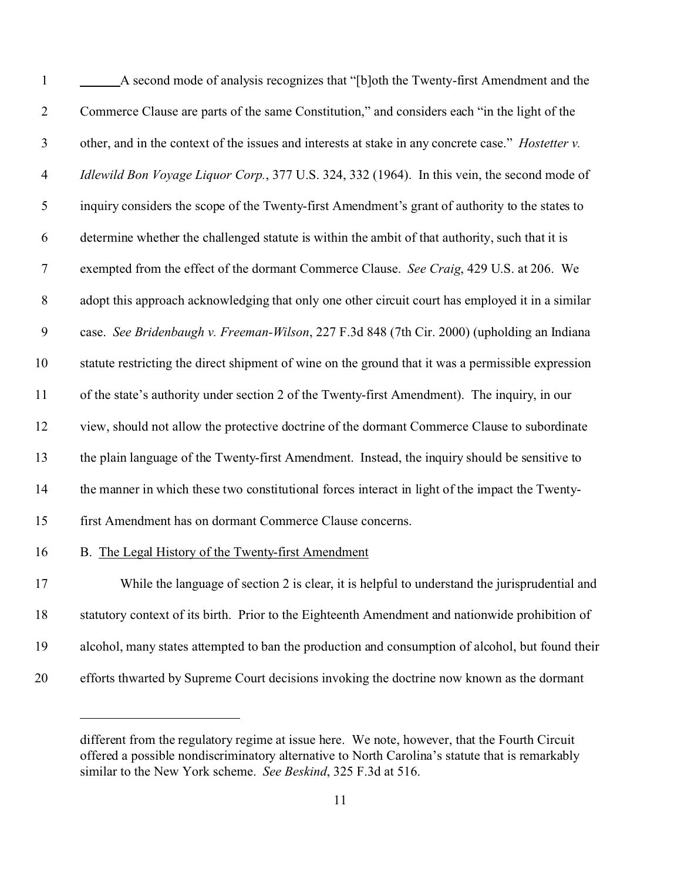| $\mathbf{1}$   | A second mode of analysis recognizes that "[b]oth the Twenty-first Amendment and the               |
|----------------|----------------------------------------------------------------------------------------------------|
| $\overline{2}$ | Commerce Clause are parts of the same Constitution," and considers each "in the light of the       |
| $\mathfrak{Z}$ | other, and in the context of the issues and interests at stake in any concrete case." Hostetter v. |
| 4              | Idlewild Bon Voyage Liquor Corp., 377 U.S. 324, 332 (1964). In this vein, the second mode of       |
| 5              | inquiry considers the scope of the Twenty-first Amendment's grant of authority to the states to    |
| 6              | determine whether the challenged statute is within the ambit of that authority, such that it is    |
| $\tau$         | exempted from the effect of the dormant Commerce Clause. See Craig, 429 U.S. at 206. We            |
| $8\,$          | adopt this approach acknowledging that only one other circuit court has employed it in a similar   |
| 9              | case. See Bridenbaugh v. Freeman-Wilson, 227 F.3d 848 (7th Cir. 2000) (upholding an Indiana        |
| 10             | statute restricting the direct shipment of wine on the ground that it was a permissible expression |
| 11             | of the state's authority under section 2 of the Twenty-first Amendment). The inquiry, in our       |
| 12             | view, should not allow the protective doctrine of the dormant Commerce Clause to subordinate       |
| 13             | the plain language of the Twenty-first Amendment. Instead, the inquiry should be sensitive to      |
| 14             | the manner in which these two constitutional forces interact in light of the impact the Twenty-    |
| 15             | first Amendment has on dormant Commerce Clause concerns.                                           |
| 16             | B. The Legal History of the Twenty-first Amendment                                                 |
| 17             | While the language of section 2 is clear, it is helpful to understand the jurisprudential and      |
| 18             | statutory context of its birth. Prior to the Eighteenth Amendment and nationwide prohibition of    |
| 19             | alcohol, many states attempted to ban the production and consumption of alcohol, but found their   |
| 20             | efforts thwarted by Supreme Court decisions invoking the doctrine now known as the dormant         |

different from the regulatory regime at issue here. We note, however, that the Fourth Circuit offered a possible nondiscriminatory alternative to North Carolina's statute that is remarkably similar to the New York scheme. *See Beskind*, 325 F.3d at 516.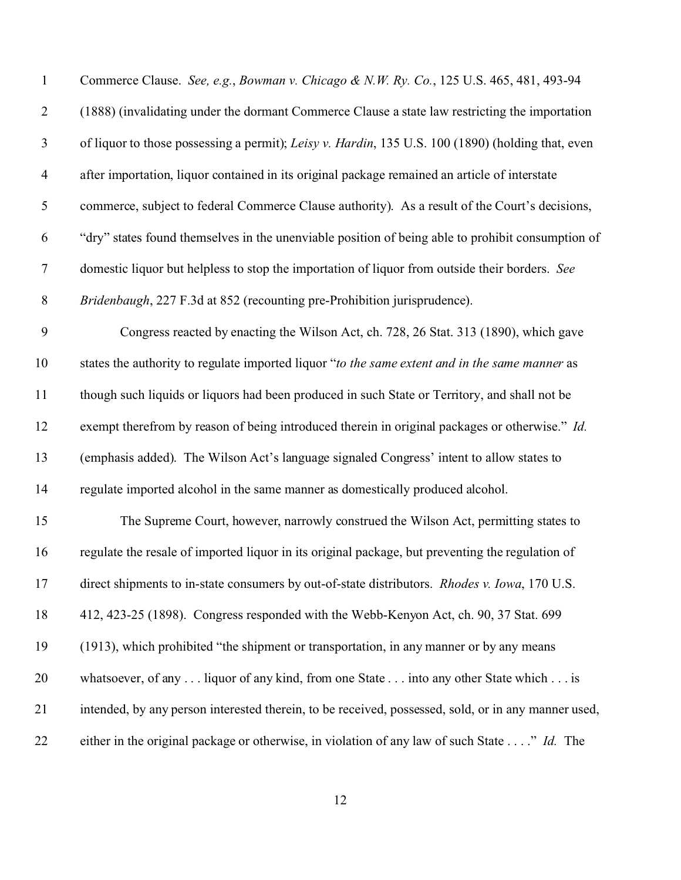| $\mathbf{1}$             | Commerce Clause. See, e.g., Bowman v. Chicago & N.W. Ry. Co., 125 U.S. 465, 481, 493-94               |
|--------------------------|-------------------------------------------------------------------------------------------------------|
| $\overline{2}$           | (1888) (invalidating under the dormant Commerce Clause a state law restricting the importation        |
| $\mathfrak{Z}$           | of liquor to those possessing a permit); Leisy v. Hardin, 135 U.S. 100 (1890) (holding that, even     |
| $\overline{\mathcal{A}}$ | after importation, liquor contained in its original package remained an article of interstate         |
| 5                        | commerce, subject to federal Commerce Clause authority). As a result of the Court's decisions,        |
| 6                        | "dry" states found themselves in the unenviable position of being able to prohibit consumption of     |
| $\boldsymbol{7}$         | domestic liquor but helpless to stop the importation of liquor from outside their borders. See        |
| $8\,$                    | Bridenbaugh, 227 F.3d at 852 (recounting pre-Prohibition jurisprudence).                              |
| 9                        | Congress reacted by enacting the Wilson Act, ch. 728, 26 Stat. 313 (1890), which gave                 |
| 10                       | states the authority to regulate imported liquor "to the same extent and in the same manner as        |
| 11                       | though such liquids or liquors had been produced in such State or Territory, and shall not be         |
| 12                       | exempt therefrom by reason of being introduced therein in original packages or otherwise." Id.        |
| 13                       | (emphasis added). The Wilson Act's language signaled Congress' intent to allow states to              |
| 14                       | regulate imported alcohol in the same manner as domestically produced alcohol.                        |
| 15                       | The Supreme Court, however, narrowly construed the Wilson Act, permitting states to                   |
| 16                       | regulate the resale of imported liquor in its original package, but preventing the regulation of      |
| 17                       | direct shipments to in-state consumers by out-of-state distributors. <i>Rhodes v. Iowa</i> , 170 U.S. |
| 18                       | 412, 423-25 (1898). Congress responded with the Webb-Kenyon Act, ch. 90, 37 Stat. 699                 |
| 19                       | (1913), which prohibited "the shipment or transportation, in any manner or by any means               |
| 20                       | whatsoever, of any  liquor of any kind, from one State  into any other State which  is                |
| 21                       | intended, by any person interested therein, to be received, possessed, sold, or in any manner used,   |
| 22                       | either in the original package or otherwise, in violation of any law of such State" Id. The           |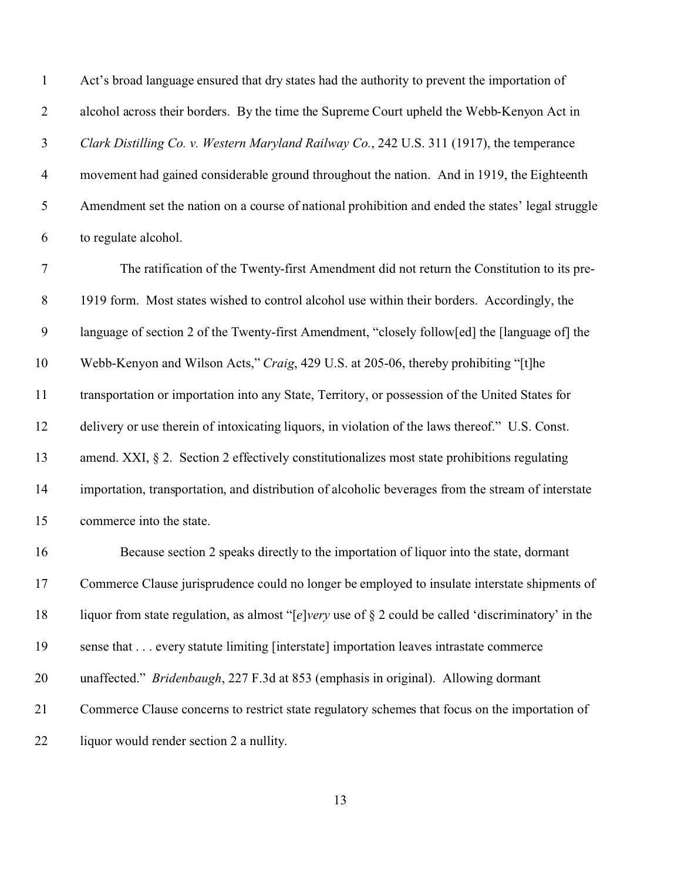Act's broad language ensured that dry states had the authority to prevent the importation of alcohol across their borders. By the time the Supreme Court upheld the Webb-Kenyon Act in *Clark Distilling Co. v. Western Maryland Railway Co.*, 242 U.S. 311 (1917), the temperance movement had gained considerable ground throughout the nation. And in 1919, the Eighteenth Amendment set the nation on a course of national prohibition and ended the states' legal struggle to regulate alcohol.

 The ratification of the Twenty-first Amendment did not return the Constitution to its pre-8 1919 form. Most states wished to control alcohol use within their borders. Accordingly, the language of section 2 of the Twenty-first Amendment, "closely follow[ed] the [language of] the Webb-Kenyon and Wilson Acts," *Craig*, 429 U.S. at 205-06, thereby prohibiting "[t]he transportation or importation into any State, Territory, or possession of the United States for delivery or use therein of intoxicating liquors, in violation of the laws thereof." U.S. Const. amend. XXI, § 2. Section 2 effectively constitutionalizes most state prohibitions regulating importation, transportation, and distribution of alcoholic beverages from the stream of interstate commerce into the state. Because section 2 speaks directly to the importation of liquor into the state, dormant

 Commerce Clause jurisprudence could no longer be employed to insulate interstate shipments of liquor from state regulation, as almost "[*e*]*very* use of § 2 could be called 'discriminatory' in the sense that . . . every statute limiting [interstate] importation leaves intrastate commerce unaffected." *Bridenbaugh*, 227 F.3d at 853 (emphasis in original). Allowing dormant Commerce Clause concerns to restrict state regulatory schemes that focus on the importation of 22 liquor would render section 2 a nullity.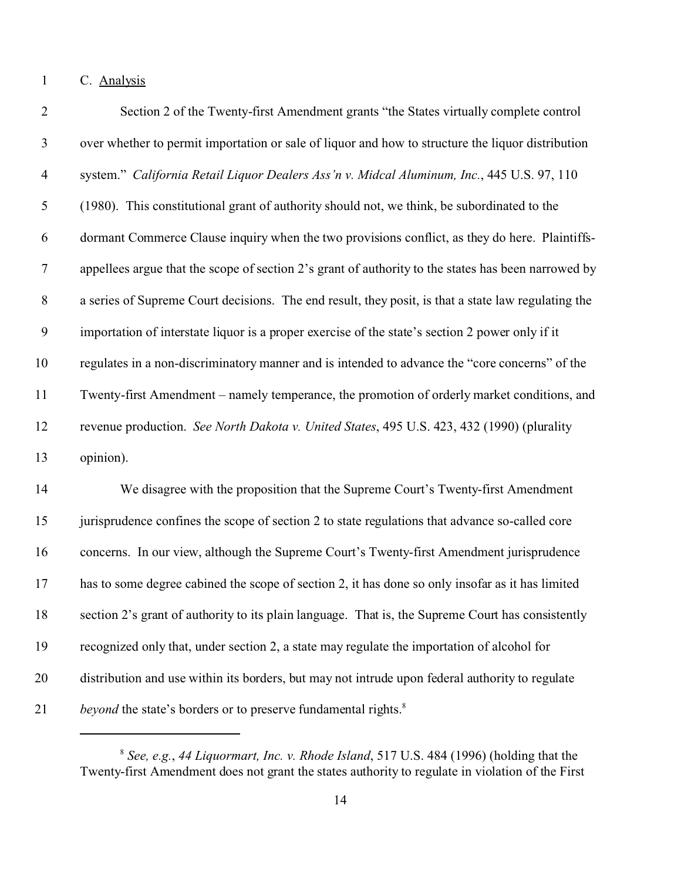C. Analysis

| $\overline{2}$ | Section 2 of the Twenty-first Amendment grants "the States virtually complete control               |
|----------------|-----------------------------------------------------------------------------------------------------|
| 3              | over whether to permit importation or sale of liquor and how to structure the liquor distribution   |
| $\overline{4}$ | system." California Retail Liquor Dealers Ass'n v. Midcal Aluminum, Inc., 445 U.S. 97, 110          |
| 5              | (1980). This constitutional grant of authority should not, we think, be subordinated to the         |
| 6              | dormant Commerce Clause inquiry when the two provisions conflict, as they do here. Plaintiffs-      |
| $\tau$         | appellees argue that the scope of section 2's grant of authority to the states has been narrowed by |
| $8\,$          | a series of Supreme Court decisions. The end result, they posit, is that a state law regulating the |
| 9              | importation of interstate liquor is a proper exercise of the state's section 2 power only if it     |
| 10             | regulates in a non-discriminatory manner and is intended to advance the "core concerns" of the      |
| 11             | Twenty-first Amendment – namely temperance, the promotion of orderly market conditions, and         |
| 12             | revenue production. See North Dakota v. United States, 495 U.S. 423, 432 (1990) (plurality          |
| 13             | opinion).                                                                                           |
| 14             | We disagree with the proposition that the Supreme Court's Twenty-first Amendment                    |
| 15             | jurisprudence confines the scope of section 2 to state regulations that advance so-called core      |
| 16             | concerns. In our view, although the Supreme Court's Twenty-first Amendment jurisprudence            |
| 17             | has to some degree cabined the scope of section 2, it has done so only insofar as it has limited    |
| 18             | section 2's grant of authority to its plain language. That is, the Supreme Court has consistently   |
| 19             | recognized only that, under section 2, a state may regulate the importation of alcohol for          |
| 20             | distribution and use within its borders, but may not intrude upon federal authority to regulate     |
| 21             | beyond the state's borders or to preserve fundamental rights. <sup>8</sup>                          |

 *See, e.g.*, *44 Liquormart, Inc. v. Rhode Island*, 517 U.S. 484 (1996) (holding that the Twenty-first Amendment does not grant the states authority to regulate in violation of the First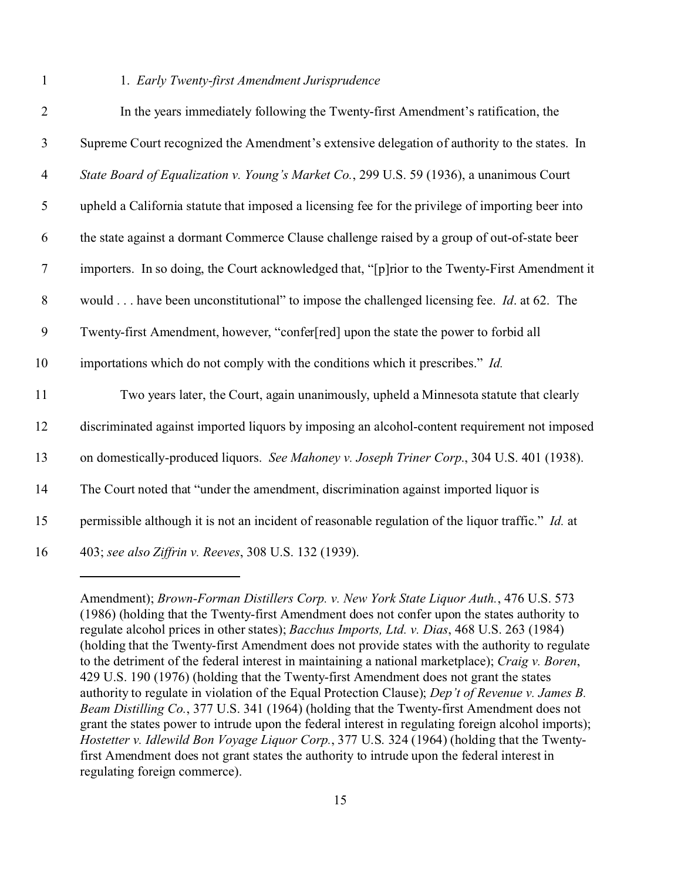## 1 1. *Early Twenty-first Amendment Jurisprudence*

| $\mathbf{2}$   | In the years immediately following the Twenty-first Amendment's ratification, the                  |
|----------------|----------------------------------------------------------------------------------------------------|
| $\mathfrak{Z}$ | Supreme Court recognized the Amendment's extensive delegation of authority to the states. In       |
| $\overline{4}$ | State Board of Equalization v. Young's Market Co., 299 U.S. 59 (1936), a unanimous Court           |
| $\mathfrak{S}$ | upheld a California statute that imposed a licensing fee for the privilege of importing beer into  |
| 6              | the state against a dormant Commerce Clause challenge raised by a group of out-of-state beer       |
| $\tau$         | importers. In so doing, the Court acknowledged that, "[p]rior to the Twenty-First Amendment it     |
| 8              | would have been unconstitutional" to impose the challenged licensing fee. <i>Id.</i> at 62. The    |
| 9              | Twenty-first Amendment, however, "confer[red] upon the state the power to forbid all               |
| 10             | importations which do not comply with the conditions which it prescribes." Id.                     |
| 11             | Two years later, the Court, again unanimously, upheld a Minnesota statute that clearly             |
| 12             | discriminated against imported liquors by imposing an alcohol-content requirement not imposed      |
| 13             | on domestically-produced liquors. See Mahoney v. Joseph Triner Corp., 304 U.S. 401 (1938).         |
| 14             | The Court noted that "under the amendment, discrimination against imported liquor is               |
| 15             | permissible although it is not an incident of reasonable regulation of the liquor traffic." Id. at |
| 16             | 403; see also Ziffrin v. Reeves, 308 U.S. 132 (1939).                                              |

Amendment); *Brown-Forman Distillers Corp. v. New York State Liquor Auth.*, 476 U.S. 573 (1986) (holding that the Twenty-first Amendment does not confer upon the states authority to regulate alcohol prices in other states); *Bacchus Imports, Ltd. v. Dias*, 468 U.S. 263 (1984) (holding that the Twenty-first Amendment does not provide states with the authority to regulate to the detriment of the federal interest in maintaining a national marketplace); *Craig v. Boren*, 429 U.S. 190 (1976) (holding that the Twenty-first Amendment does not grant the states authority to regulate in violation of the Equal Protection Clause); *Dep't of Revenue v. James B. Beam Distilling Co.*, 377 U.S. 341 (1964) (holding that the Twenty-first Amendment does not grant the states power to intrude upon the federal interest in regulating foreign alcohol imports); *Hostetter v. Idlewild Bon Voyage Liquor Corp.*, 377 U.S. 324 (1964) (holding that the Twentyfirst Amendment does not grant states the authority to intrude upon the federal interest in regulating foreign commerce).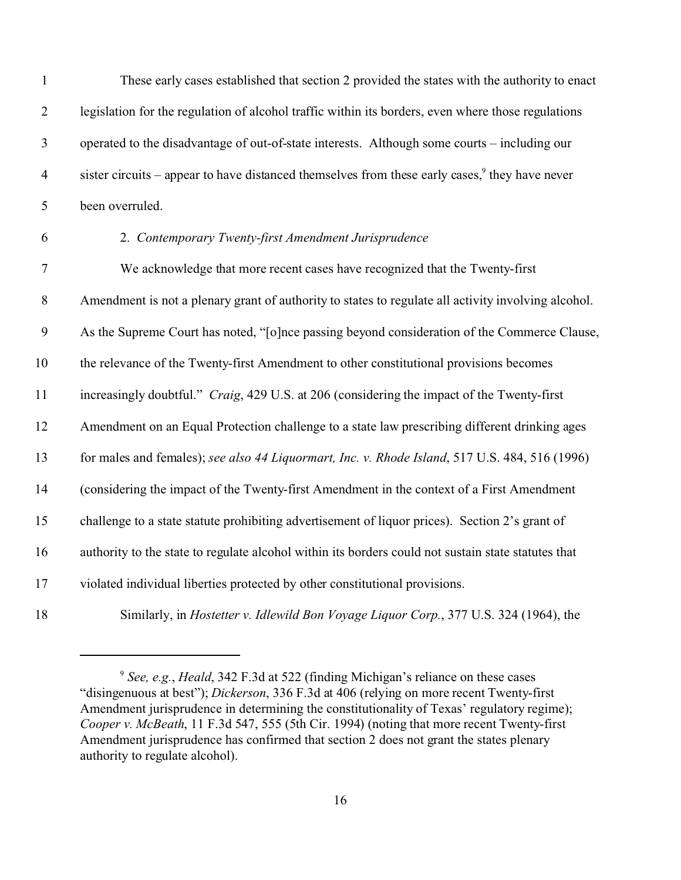| $\mathbf{1}$     | These early cases established that section 2 provided the states with the authority to enact        |
|------------------|-----------------------------------------------------------------------------------------------------|
| $\mathbf{2}$     | legislation for the regulation of alcohol traffic within its borders, even where those regulations  |
| $\mathfrak{Z}$   | operated to the disadvantage of out-of-state interests. Although some courts - including our        |
| $\overline{4}$   | sister circuits – appear to have distanced themselves from these early cases, $9$ they have never   |
| $\mathfrak{S}$   | been overruled.                                                                                     |
| 6                | 2. Contemporary Twenty-first Amendment Jurisprudence                                                |
| $\boldsymbol{7}$ | We acknowledge that more recent cases have recognized that the Twenty-first                         |
| $8\,$            | Amendment is not a plenary grant of authority to states to regulate all activity involving alcohol. |
| 9                | As the Supreme Court has noted, "[o]nce passing beyond consideration of the Commerce Clause,        |
| 10               | the relevance of the Twenty-first Amendment to other constitutional provisions becomes              |
| 11               | increasingly doubtful." Craig, 429 U.S. at 206 (considering the impact of the Twenty-first          |
| 12               | Amendment on an Equal Protection challenge to a state law prescribing different drinking ages       |
| 13               | for males and females); see also 44 Liquormart, Inc. v. Rhode Island, 517 U.S. 484, 516 (1996)      |
| 14               | (considering the impact of the Twenty-first Amendment in the context of a First Amendment           |
| 15               | challenge to a state statute prohibiting advertisement of liquor prices). Section 2's grant of      |
| 16               | authority to the state to regulate alcohol within its borders could not sustain state statutes that |
| 17               | violated individual liberties protected by other constitutional provisions.                         |
| 18               | Similarly, in <i>Hostetter v. Idlewild Bon Voyage Liquor Corp.</i> , 377 U.S. 324 (1964), the       |

<sup>&</sup>lt;sup>9</sup> See, e.g., *Heald*, 342 F.3d at 522 (finding Michigan's reliance on these cases "disingenuous at best"); *Dickerson*, 336 F.3d at 406 (relying on more recent Twenty-first Amendment jurisprudence in determining the constitutionality of Texas' regulatory regime); *Cooper v. McBeath*, 11 F.3d 547, 555 (5th Cir. 1994) (noting that more recent Twenty-first Amendment jurisprudence has confirmed that section 2 does not grant the states plenary authority to regulate alcohol).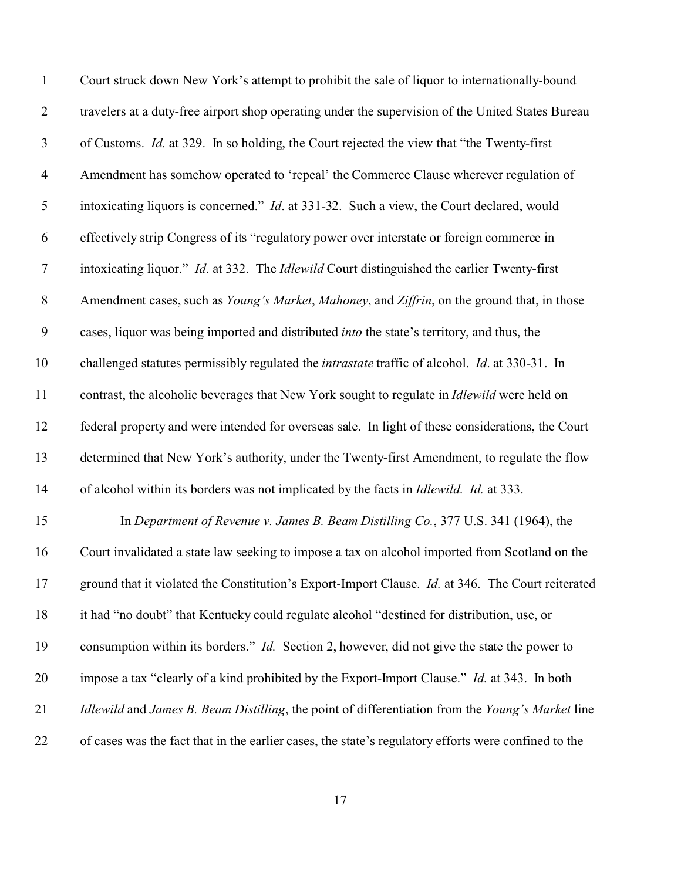| $\mathbf{1}$     | Court struck down New York's attempt to prohibit the sale of liquor to internationally-bound                 |
|------------------|--------------------------------------------------------------------------------------------------------------|
| $\overline{2}$   | travelers at a duty-free airport shop operating under the supervision of the United States Bureau            |
| $\mathfrak{Z}$   | of Customs. <i>Id.</i> at 329. In so holding, the Court rejected the view that "the Twenty-first"            |
| $\overline{4}$   | Amendment has somehow operated to 'repeal' the Commerce Clause wherever regulation of                        |
| $\mathfrak{S}$   | intoxicating liquors is concerned." Id. at 331-32. Such a view, the Court declared, would                    |
| 6                | effectively strip Congress of its "regulatory power over interstate or foreign commerce in                   |
| $\boldsymbol{7}$ | intoxicating liquor." Id. at 332. The Idlewild Court distinguished the earlier Twenty-first                  |
| $\,8\,$          | Amendment cases, such as Young's Market, Mahoney, and Ziffrin, on the ground that, in those                  |
| 9                | cases, liquor was being imported and distributed into the state's territory, and thus, the                   |
| 10               | challenged statutes permissibly regulated the <i>intrastate</i> traffic of alcohol. <i>Id.</i> at 330-31. In |
| 11               | contrast, the alcoholic beverages that New York sought to regulate in Idlewild were held on                  |
| 12               | federal property and were intended for overseas sale. In light of these considerations, the Court            |
| 13               | determined that New York's authority, under the Twenty-first Amendment, to regulate the flow                 |
| 14               | of alcohol within its borders was not implicated by the facts in <i>Idlewild. Id.</i> at 333.                |
| 15               | In Department of Revenue v. James B. Beam Distilling Co., 377 U.S. 341 (1964), the                           |
| 16               | Court invalidated a state law seeking to impose a tax on alcohol imported from Scotland on the               |
| 17               | ground that it violated the Constitution's Export-Import Clause. <i>Id.</i> at 346. The Court reiterated     |
| 18               | it had "no doubt" that Kentucky could regulate alcohol "destined for distribution, use, or                   |
| 19               | consumption within its borders." <i>Id.</i> Section 2, however, did not give the state the power to          |
| 20               | impose a tax "clearly of a kind prohibited by the Export-Import Clause." Id. at 343. In both                 |
| 21               | Idlewild and James B. Beam Distilling, the point of differentiation from the Young's Market line             |
| 22               | of cases was the fact that in the earlier cases, the state's regulatory efforts were confined to the         |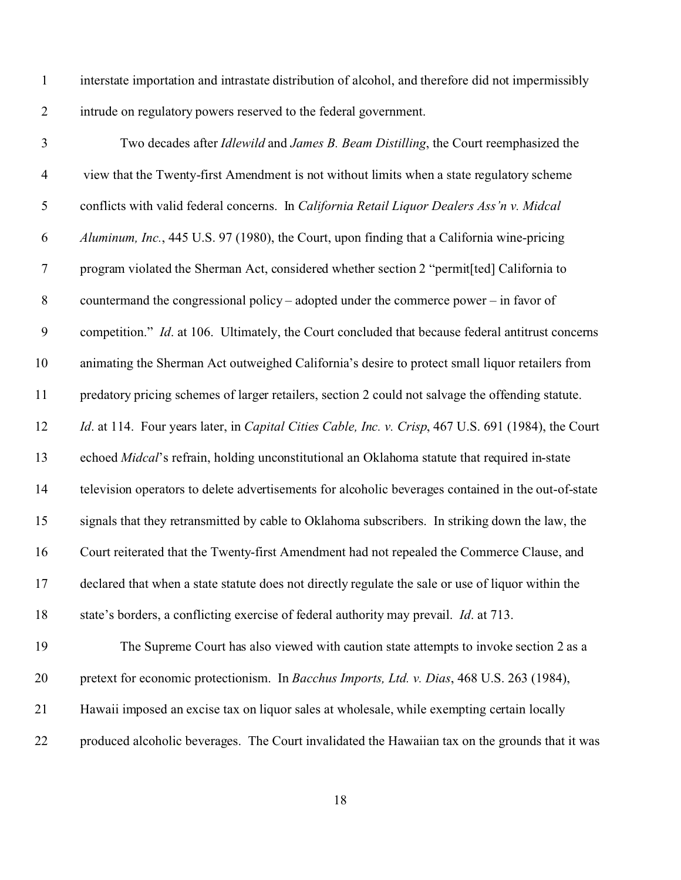interstate importation and intrastate distribution of alcohol, and therefore did not impermissibly intrude on regulatory powers reserved to the federal government.

| $\overline{3}$   | Two decades after Idlewild and James B. Beam Distilling, the Court reemphasized the                  |
|------------------|------------------------------------------------------------------------------------------------------|
| $\overline{4}$   | view that the Twenty-first Amendment is not without limits when a state regulatory scheme            |
| $\mathfrak{S}$   | conflicts with valid federal concerns. In California Retail Liquor Dealers Ass'n v. Midcal           |
| 6                | Aluminum, Inc., 445 U.S. 97 (1980), the Court, upon finding that a California wine-pricing           |
| $\tau$           | program violated the Sherman Act, considered whether section 2 "permit[ted] California to            |
| $\,8\,$          | countermand the congressional policy – adopted under the commerce power – in favor of                |
| $\boldsymbol{9}$ | competition." Id. at 106. Ultimately, the Court concluded that because federal antitrust concerns    |
| 10               | animating the Sherman Act outweighed California's desire to protect small liquor retailers from      |
| 11               | predatory pricing schemes of larger retailers, section 2 could not salvage the offending statute.    |
| 12               | Id. at 114. Four years later, in Capital Cities Cable, Inc. v. Crisp, 467 U.S. 691 (1984), the Court |
| 13               | echoed Midcal's refrain, holding unconstitutional an Oklahoma statute that required in-state         |
| 14               | television operators to delete advertisements for alcoholic beverages contained in the out-of-state  |
| 15               | signals that they retransmitted by cable to Oklahoma subscribers. In striking down the law, the      |
| 16               | Court reiterated that the Twenty-first Amendment had not repealed the Commerce Clause, and           |
| 17               | declared that when a state statute does not directly regulate the sale or use of liquor within the   |
| 18               | state's borders, a conflicting exercise of federal authority may prevail. <i>Id.</i> at 713.         |
| 19               | The Supreme Court has also viewed with caution state attempts to invoke section 2 as a               |
| 20               | pretext for economic protectionism. In Bacchus Imports, Ltd. v. Dias, 468 U.S. 263 (1984),           |

produced alcoholic beverages. The Court invalidated the Hawaiian tax on the grounds that it was

Hawaii imposed an excise tax on liquor sales at wholesale, while exempting certain locally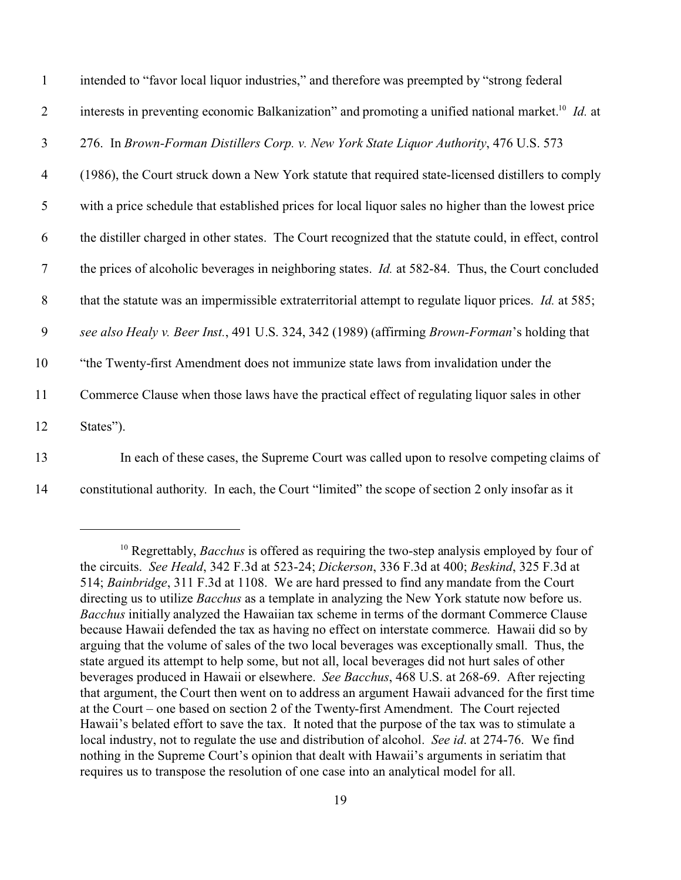| $\mathbf{1}$   | intended to "favor local liquor industries," and therefore was preempted by "strong federal                   |
|----------------|---------------------------------------------------------------------------------------------------------------|
| $\overline{2}$ | interests in preventing economic Balkanization" and promoting a unified national market. <sup>10</sup> Id. at |
| $\mathfrak{Z}$ | 276. In Brown-Forman Distillers Corp. v. New York State Liquor Authority, 476 U.S. 573                        |
| $\overline{4}$ | (1986), the Court struck down a New York statute that required state-licensed distillers to comply            |
| 5              | with a price schedule that established prices for local liquor sales no higher than the lowest price          |
| 6              | the distiller charged in other states. The Court recognized that the statute could, in effect, control        |
| $\tau$         | the prices of alcoholic beverages in neighboring states. <i>Id.</i> at 582-84. Thus, the Court concluded      |
| 8              | that the statute was an impermissible extraterritorial attempt to regulate liquor prices. Id. at 585;         |
| 9              | see also Healy v. Beer Inst., 491 U.S. 324, 342 (1989) (affirming Brown-Forman's holding that                 |
| 10             | "the Twenty-first Amendment does not immunize state laws from invalidation under the                          |
| 11             | Commerce Clause when those laws have the practical effect of regulating liquor sales in other                 |
| 12             | States").                                                                                                     |
| 12             | In each of these cases, the Supreme Court was called upon to resolve compating elaims of                      |

13 In each of these cases, the Supreme Court was called upon to resolve competing claims of 14 constitutional authority. In each, the Court "limited" the scope of section 2 only insofar as it

<sup>&</sup>lt;sup>10</sup> Regrettably, *Bacchus* is offered as requiring the two-step analysis employed by four of the circuits. *See Heald*, 342 F.3d at 523-24; *Dickerson*, 336 F.3d at 400; *Beskind*, 325 F.3d at 514; *Bainbridge*, 311 F.3d at 1108. We are hard pressed to find any mandate from the Court directing us to utilize *Bacchus* as a template in analyzing the New York statute now before us. *Bacchus* initially analyzed the Hawaiian tax scheme in terms of the dormant Commerce Clause because Hawaii defended the tax as having no effect on interstate commerce. Hawaii did so by arguing that the volume of sales of the two local beverages was exceptionally small. Thus, the state argued its attempt to help some, but not all, local beverages did not hurt sales of other beverages produced in Hawaii or elsewhere. *See Bacchus*, 468 U.S. at 268-69. After rejecting that argument, the Court then went on to address an argument Hawaii advanced for the first time at the Court – one based on section 2 of the Twenty-first Amendment. The Court rejected Hawaii's belated effort to save the tax. It noted that the purpose of the tax was to stimulate a local industry, not to regulate the use and distribution of alcohol. *See id*. at 274-76. We find nothing in the Supreme Court's opinion that dealt with Hawaii's arguments in seriatim that requires us to transpose the resolution of one case into an analytical model for all.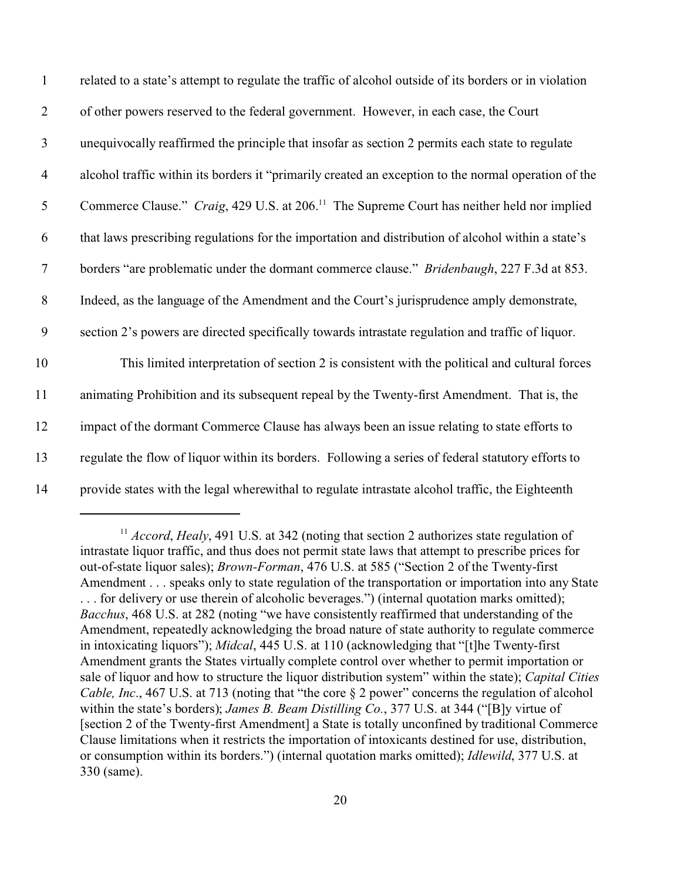| $\mathbf{1}$   | related to a state's attempt to regulate the traffic of alcohol outside of its borders or in violation |
|----------------|--------------------------------------------------------------------------------------------------------|
| $\overline{2}$ | of other powers reserved to the federal government. However, in each case, the Court                   |
| $\mathfrak{Z}$ | unequivocally reaffirmed the principle that insofar as section 2 permits each state to regulate        |
| $\overline{4}$ | alcohol traffic within its borders it "primarily created an exception to the normal operation of the   |
| 5              | Commerce Clause." Craig, 429 U.S. at 206. <sup>11</sup> The Supreme Court has neither held nor implied |
| 6              | that laws prescribing regulations for the importation and distribution of alcohol within a state's     |
| $\tau$         | borders "are problematic under the dormant commerce clause." <i>Bridenbaugh</i> , 227 F.3d at 853.     |
| $8\,$          | Indeed, as the language of the Amendment and the Court's jurisprudence amply demonstrate,              |
| 9              | section 2's powers are directed specifically towards intrastate regulation and traffic of liquor.      |
| 10             | This limited interpretation of section 2 is consistent with the political and cultural forces          |
| 11             | animating Prohibition and its subsequent repeal by the Twenty-first Amendment. That is, the            |
| 12             | impact of the dormant Commerce Clause has always been an issue relating to state efforts to            |
| 13             | regulate the flow of liquor within its borders. Following a series of federal statutory efforts to     |
| 14             | provide states with the legal wherewithal to regulate intrastate alcohol traffic, the Eighteenth       |

<sup>&</sup>lt;sup>11</sup> *Accord*, *Healy*, 491 U.S. at 342 (noting that section 2 authorizes state regulation of intrastate liquor traffic, and thus does not permit state laws that attempt to prescribe prices for out-of-state liquor sales); *Brown-Forman*, 476 U.S. at 585 ("Section 2 of the Twenty-first Amendment . . . speaks only to state regulation of the transportation or importation into any State . . . for delivery or use therein of alcoholic beverages.") (internal quotation marks omitted); *Bacchus*, 468 U.S. at 282 (noting "we have consistently reaffirmed that understanding of the Amendment, repeatedly acknowledging the broad nature of state authority to regulate commerce in intoxicating liquors"); *Midcal*, 445 U.S. at 110 (acknowledging that "[t]he Twenty-first Amendment grants the States virtually complete control over whether to permit importation or sale of liquor and how to structure the liquor distribution system" within the state); *Capital Cities Cable, Inc.*, 467 U.S. at 713 (noting that "the core  $\S$  2 power" concerns the regulation of alcohol within the state's borders); *James B. Beam Distilling Co.*, 377 U.S. at 344 ("[B]y virtue of [section 2 of the Twenty-first Amendment] a State is totally unconfined by traditional Commerce Clause limitations when it restricts the importation of intoxicants destined for use, distribution, or consumption within its borders.") (internal quotation marks omitted); *Idlewild*, 377 U.S. at 330 (same).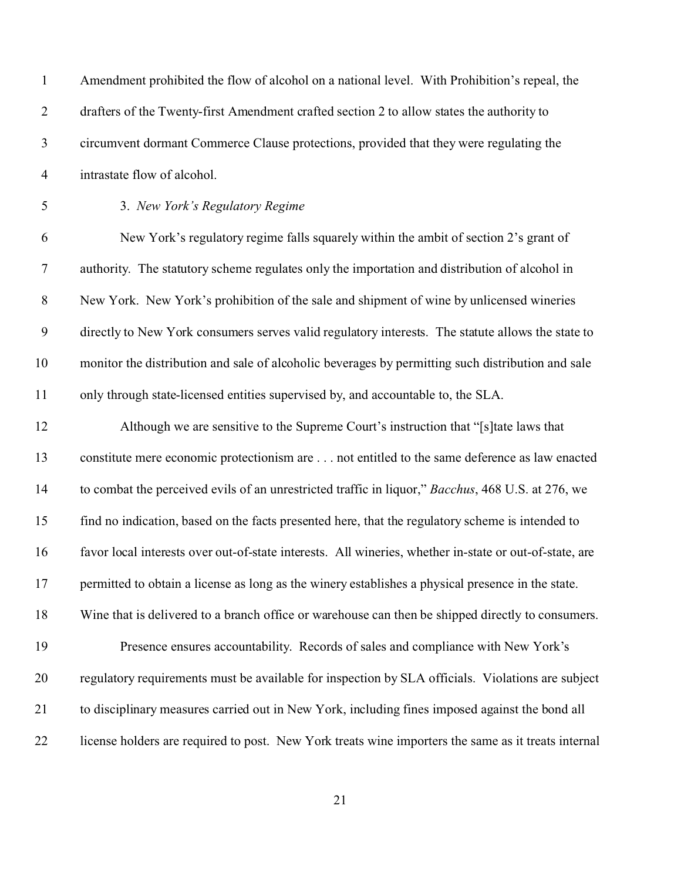| $\mathbf{1}$     | Amendment prohibited the flow of alcohol on a national level. With Prohibition's repeal, the           |
|------------------|--------------------------------------------------------------------------------------------------------|
| $\overline{2}$   | drafters of the Twenty-first Amendment crafted section 2 to allow states the authority to              |
| $\mathfrak{Z}$   | circumvent dormant Commerce Clause protections, provided that they were regulating the                 |
| $\overline{4}$   | intrastate flow of alcohol.                                                                            |
| $\mathfrak s$    | 3. New York's Regulatory Regime                                                                        |
| 6                | New York's regulatory regime falls squarely within the ambit of section 2's grant of                   |
| $\boldsymbol{7}$ | authority. The statutory scheme regulates only the importation and distribution of alcohol in          |
| $8\phantom{1}$   | New York. New York's prohibition of the sale and shipment of wine by unlicensed wineries               |
| $\boldsymbol{9}$ | directly to New York consumers serves valid regulatory interests. The statute allows the state to      |
| 10               | monitor the distribution and sale of alcoholic beverages by permitting such distribution and sale      |
| 11               | only through state-licensed entities supervised by, and accountable to, the SLA.                       |
| 12               | Although we are sensitive to the Supreme Court's instruction that "[s] tate laws that                  |
| 13               | constitute mere economic protectionism are not entitled to the same deference as law enacted           |
| 14               | to combat the perceived evils of an unrestricted traffic in liquor," Bacchus, 468 U.S. at 276, we      |
| 15               | find no indication, based on the facts presented here, that the regulatory scheme is intended to       |
| 16               | favor local interests over out-of-state interests. All wineries, whether in-state or out-of-state, are |
| 17               | permitted to obtain a license as long as the winery establishes a physical presence in the state.      |
| 18               | Wine that is delivered to a branch office or warehouse can then be shipped directly to consumers.      |
| 19               | Presence ensures accountability. Records of sales and compliance with New York's                       |
| 20               | regulatory requirements must be available for inspection by SLA officials. Violations are subject      |
| 21               | to disciplinary measures carried out in New York, including fines imposed against the bond all         |
| 22               | license holders are required to post. New York treats wine importers the same as it treats internal    |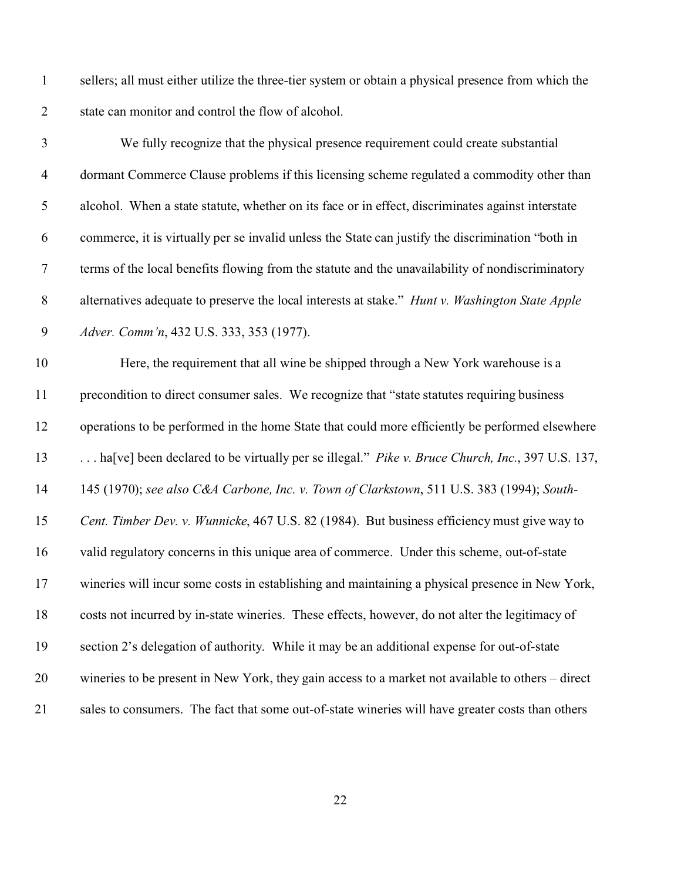sellers; all must either utilize the three-tier system or obtain a physical presence from which the state can monitor and control the flow of alcohol.

| 3                | We fully recognize that the physical presence requirement could create substantial                |
|------------------|---------------------------------------------------------------------------------------------------|
| $\overline{4}$   | dormant Commerce Clause problems if this licensing scheme regulated a commodity other than        |
| 5                | alcohol. When a state statute, whether on its face or in effect, discriminates against interstate |
| 6                | commerce, it is virtually per se invalid unless the State can justify the discrimination "both in |
| $\overline{7}$   | terms of the local benefits flowing from the statute and the unavailability of nondiscriminatory  |
| $\,8\,$          | alternatives adequate to preserve the local interests at stake." Hunt v. Washington State Apple   |
| $\boldsymbol{9}$ | Adver. Comm'n, 432 U.S. 333, 353 (1977).                                                          |
| 10               | Here, the requirement that all wine be shipped through a New York warehouse is a                  |
| 11               | precondition to direct consumer sales. We recognize that "state statutes requiring business       |
| 12               | operations to be performed in the home State that could more efficiently be performed elsewhere   |
| 13               | ha[ve] been declared to be virtually per se illegal." Pike v. Bruce Church, Inc., 397 U.S. 137,   |
| 14               | 145 (1970); see also C&A Carbone, Inc. v. Town of Clarkstown, 511 U.S. 383 (1994); South-         |
| 15               | Cent. Timber Dev. v. Wunnicke, 467 U.S. 82 (1984). But business efficiency must give way to       |
| 16               | valid regulatory concerns in this unique area of commerce. Under this scheme, out-of-state        |
| 17               | wineries will incur some costs in establishing and maintaining a physical presence in New York,   |
| 18               | costs not incurred by in-state wineries. These effects, however, do not alter the legitimacy of   |
| 19               | section 2's delegation of authority. While it may be an additional expense for out-of-state       |
| 20               | wineries to be present in New York, they gain access to a market not available to others – direct |
| 21               | sales to consumers. The fact that some out-of-state wineries will have greater costs than others  |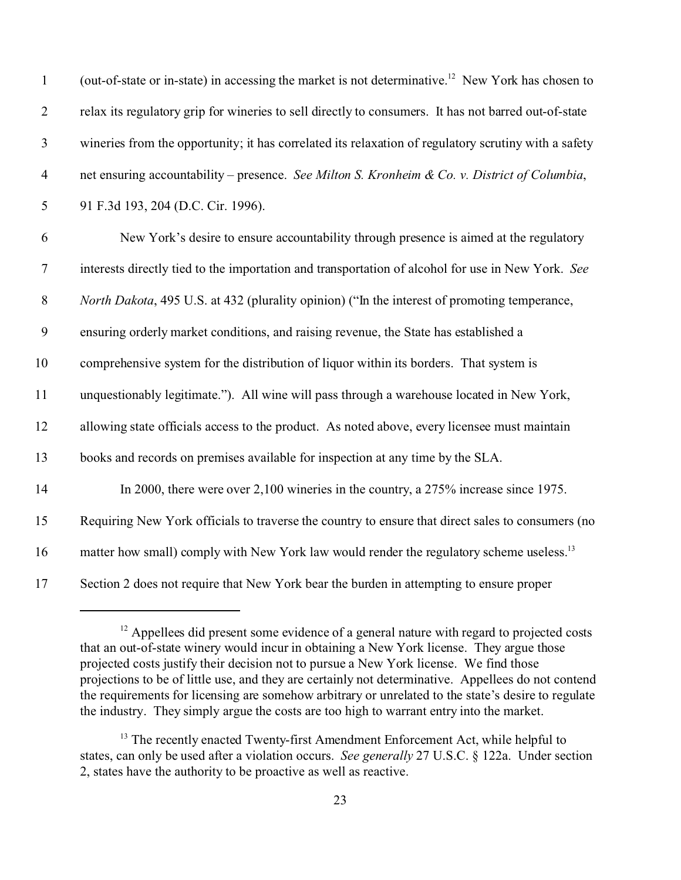| $\mathbf{1}$     | (out-of-state or in-state) in accessing the market is not determinative. <sup>12</sup> New York has chosen to |
|------------------|---------------------------------------------------------------------------------------------------------------|
| $\overline{2}$   | relax its regulatory grip for wineries to sell directly to consumers. It has not barred out-of-state          |
| $\mathfrak{Z}$   | wineries from the opportunity; it has correlated its relaxation of regulatory scrutiny with a safety          |
| $\overline{4}$   | net ensuring accountability – presence. See Milton S. Kronheim & Co. v. District of Columbia,                 |
| $\mathfrak s$    | 91 F.3d 193, 204 (D.C. Cir. 1996).                                                                            |
| 6                | New York's desire to ensure accountability through presence is aimed at the regulatory                        |
| $\boldsymbol{7}$ | interests directly tied to the importation and transportation of alcohol for use in New York. See             |
| $\, 8$           | <i>North Dakota</i> , 495 U.S. at 432 (plurality opinion) ("In the interest of promoting temperance,          |
| $\boldsymbol{9}$ | ensuring orderly market conditions, and raising revenue, the State has established a                          |
| 10               | comprehensive system for the distribution of liquor within its borders. That system is                        |
| 11               | unquestionably legitimate."). All wine will pass through a warehouse located in New York,                     |
| 12               | allowing state officials access to the product. As noted above, every licensee must maintain                  |
| 13               | books and records on premises available for inspection at any time by the SLA.                                |
| 14               | In 2000, there were over 2,100 wineries in the country, a 275% increase since 1975.                           |
| 15               | Requiring New York officials to traverse the country to ensure that direct sales to consumers (no             |
| 16               | matter how small) comply with New York law would render the regulatory scheme useless. <sup>13</sup>          |
| 17               | Section 2 does not require that New York bear the burden in attempting to ensure proper                       |

 Appellees did present some evidence of a general nature with regard to projected costs that an out-of-state winery would incur in obtaining a New York license. They argue those projected costs justify their decision not to pursue a New York license. We find those projections to be of little use, and they are certainly not determinative. Appellees do not contend the requirements for licensing are somehow arbitrary or unrelated to the state's desire to regulate the industry. They simply argue the costs are too high to warrant entry into the market.

<sup>&</sup>lt;sup>13</sup> The recently enacted Twenty-first Amendment Enforcement Act, while helpful to states, can only be used after a violation occurs. *See generally* 27 U.S.C. § 122a. Under section 2, states have the authority to be proactive as well as reactive.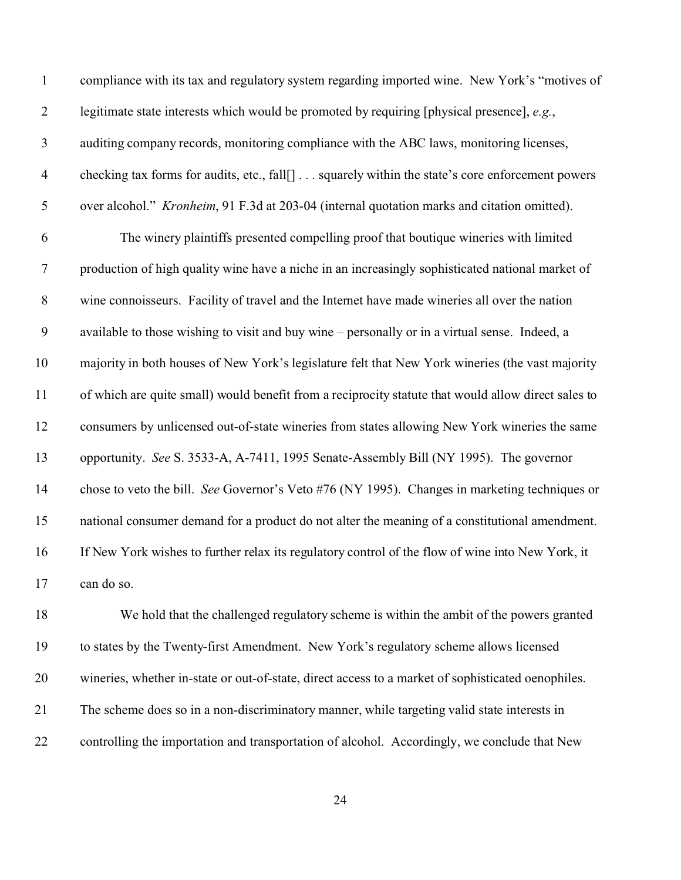| $\mathbf{1}$     | compliance with its tax and regulatory system regarding imported wine. New York's "motives of       |
|------------------|-----------------------------------------------------------------------------------------------------|
| $\overline{2}$   | legitimate state interests which would be promoted by requiring [physical presence], e.g.,          |
| 3                | auditing company records, monitoring compliance with the ABC laws, monitoring licenses,             |
| $\overline{4}$   | checking tax forms for audits, etc., fall[] squarely within the state's core enforcement powers     |
| $\mathfrak{S}$   | over alcohol." Kronheim, 91 F.3d at 203-04 (internal quotation marks and citation omitted).         |
| 6                | The winery plaintiffs presented compelling proof that boutique wineries with limited                |
| $\overline{7}$   | production of high quality wine have a niche in an increasingly sophisticated national market of    |
| $8\,$            | wine connoisseurs. Facility of travel and the Internet have made wineries all over the nation       |
| $\boldsymbol{9}$ | available to those wishing to visit and buy wine – personally or in a virtual sense. Indeed, a      |
| 10               | majority in both houses of New York's legislature felt that New York wineries (the vast majority    |
| 11               | of which are quite small) would benefit from a reciprocity statute that would allow direct sales to |
| 12               | consumers by unlicensed out-of-state wineries from states allowing New York wineries the same       |
| 13               | opportunity. See S. 3533-A, A-7411, 1995 Senate-Assembly Bill (NY 1995). The governor               |
| 14               | chose to veto the bill. See Governor's Veto #76 (NY 1995). Changes in marketing techniques or       |
| 15               | national consumer demand for a product do not alter the meaning of a constitutional amendment.      |
| 16               | If New York wishes to further relax its regulatory control of the flow of wine into New York, it    |
| 17               | can do so.                                                                                          |
| 18               | We hold that the challenged regulatory scheme is within the ambit of the powers granted             |
| 19               | to states by the Twenty-first Amendment. New York's regulatory scheme allows licensed               |
| 20               | wineries, whether in-state or out-of-state, direct access to a market of sophisticated oenophiles.  |
|                  |                                                                                                     |

controlling the importation and transportation of alcohol. Accordingly, we conclude that New

The scheme does so in a non-discriminatory manner, while targeting valid state interests in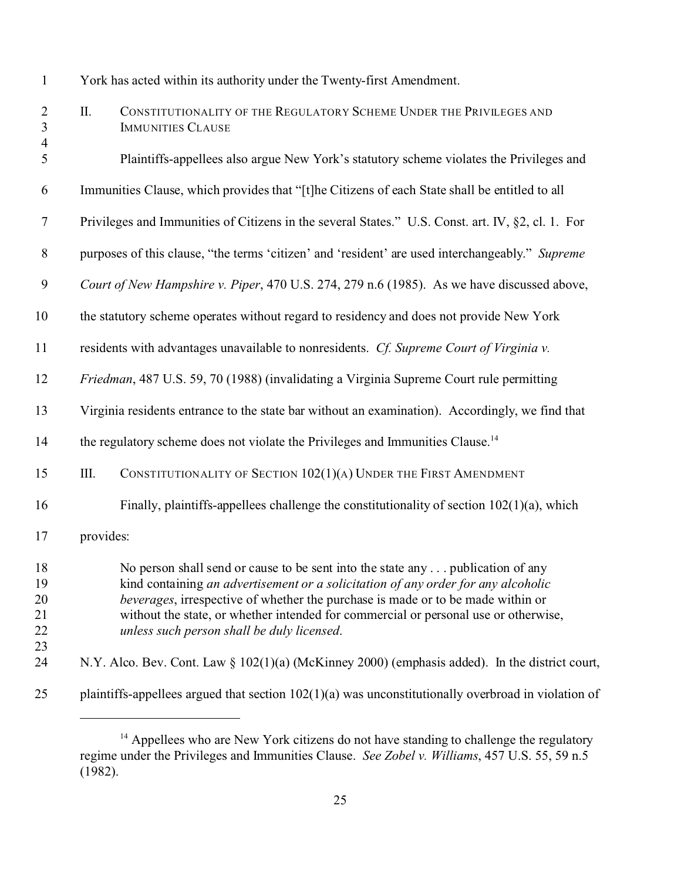| $\mathbf{1}$                                       | York has acted within its authority under the Twenty-first Amendment.                             |                                                                                                                                                                                                                                                                                                                                                                                                      |  |
|----------------------------------------------------|---------------------------------------------------------------------------------------------------|------------------------------------------------------------------------------------------------------------------------------------------------------------------------------------------------------------------------------------------------------------------------------------------------------------------------------------------------------------------------------------------------------|--|
| $\overline{2}$<br>$\mathfrak{Z}$<br>$\overline{4}$ | Π.                                                                                                | CONSTITUTIONALITY OF THE REGULATORY SCHEME UNDER THE PRIVILEGES AND<br><b>IMMUNITIES CLAUSE</b>                                                                                                                                                                                                                                                                                                      |  |
| 5                                                  |                                                                                                   | Plaintiffs-appellees also argue New York's statutory scheme violates the Privileges and                                                                                                                                                                                                                                                                                                              |  |
| 6                                                  |                                                                                                   | Immunities Clause, which provides that "[t]he Citizens of each State shall be entitled to all                                                                                                                                                                                                                                                                                                        |  |
| $\overline{7}$                                     | Privileges and Immunities of Citizens in the several States." U.S. Const. art. IV, §2, cl. 1. For |                                                                                                                                                                                                                                                                                                                                                                                                      |  |
| $8\,$                                              | purposes of this clause, "the terms 'citizen' and 'resident' are used interchangeably." Supreme   |                                                                                                                                                                                                                                                                                                                                                                                                      |  |
| $\boldsymbol{9}$                                   | Court of New Hampshire v. Piper, 470 U.S. 274, 279 n.6 (1985). As we have discussed above,        |                                                                                                                                                                                                                                                                                                                                                                                                      |  |
| 10                                                 | the statutory scheme operates without regard to residency and does not provide New York           |                                                                                                                                                                                                                                                                                                                                                                                                      |  |
| 11                                                 | residents with advantages unavailable to nonresidents. Cf. Supreme Court of Virginia v.           |                                                                                                                                                                                                                                                                                                                                                                                                      |  |
| 12                                                 | Friedman, 487 U.S. 59, 70 (1988) (invalidating a Virginia Supreme Court rule permitting           |                                                                                                                                                                                                                                                                                                                                                                                                      |  |
| 13                                                 | Virginia residents entrance to the state bar without an examination). Accordingly, we find that   |                                                                                                                                                                                                                                                                                                                                                                                                      |  |
| 14                                                 | the regulatory scheme does not violate the Privileges and Immunities Clause. <sup>14</sup>        |                                                                                                                                                                                                                                                                                                                                                                                                      |  |
| 15                                                 | Ш.                                                                                                | CONSTITUTIONALITY OF SECTION 102(1)(A) UNDER THE FIRST AMENDMENT                                                                                                                                                                                                                                                                                                                                     |  |
| 16                                                 |                                                                                                   | Finally, plaintiffs-appellees challenge the constitutionality of section $102(1)(a)$ , which                                                                                                                                                                                                                                                                                                         |  |
| 17                                                 | provides:                                                                                         |                                                                                                                                                                                                                                                                                                                                                                                                      |  |
| 18<br>19<br>20<br>21<br>22                         |                                                                                                   | No person shall send or cause to be sent into the state any  publication of any<br>kind containing an advertisement or a solicitation of any order for any alcoholic<br><i>beverages</i> , irrespective of whether the purchase is made or to be made within or<br>without the state, or whether intended for commercial or personal use or otherwise,<br>unless such person shall be duly licensed. |  |
| 23<br>24                                           |                                                                                                   | N.Y. Alco. Bev. Cont. Law § 102(1)(a) (McKinney 2000) (emphasis added). In the district court,                                                                                                                                                                                                                                                                                                       |  |
| 25                                                 |                                                                                                   | plaintiffs-appellees argued that section $102(1)(a)$ was unconstitutionally overbroad in violation of                                                                                                                                                                                                                                                                                                |  |

<sup>&</sup>lt;sup>14</sup> Appellees who are New York citizens do not have standing to challenge the regulatory regime under the Privileges and Immunities Clause. *See Zobel v. Williams*, 457 U.S. 55, 59 n.5 (1982).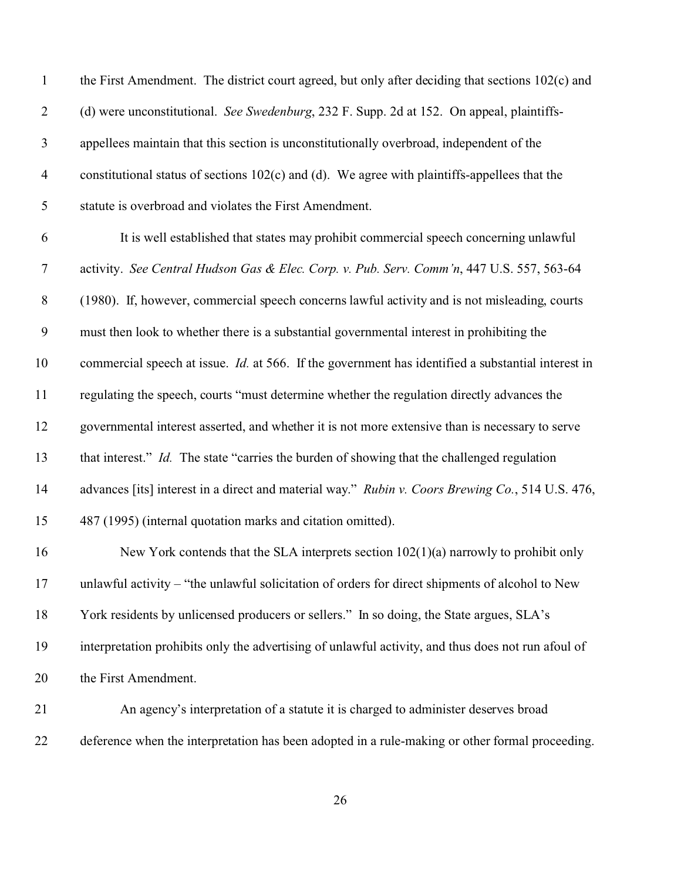| $\mathbf{1}$   | the First Amendment. The district court agreed, but only after deciding that sections 102(c) and          |
|----------------|-----------------------------------------------------------------------------------------------------------|
| $\overline{2}$ | (d) were unconstitutional. See Swedenburg, 232 F. Supp. 2d at 152. On appeal, plaintiffs-                 |
| $\mathfrak{Z}$ | appellees maintain that this section is unconstitutionally overbroad, independent of the                  |
| $\overline{4}$ | constitutional status of sections $102(c)$ and (d). We agree with plaintiffs-appellees that the           |
| 5              | statute is overbroad and violates the First Amendment.                                                    |
| 6              | It is well established that states may prohibit commercial speech concerning unlawful                     |
| $\tau$         | activity. See Central Hudson Gas & Elec. Corp. v. Pub. Serv. Comm'n, 447 U.S. 557, 563-64                 |
| $8\,$          | (1980). If, however, commercial speech concerns lawful activity and is not misleading, courts             |
| 9              | must then look to whether there is a substantial governmental interest in prohibiting the                 |
| 10             | commercial speech at issue. <i>Id.</i> at 566. If the government has identified a substantial interest in |
| 11             | regulating the speech, courts "must determine whether the regulation directly advances the                |
| 12             | governmental interest asserted, and whether it is not more extensive than is necessary to serve           |
| 13             | that interest." Id. The state "carries the burden of showing that the challenged regulation               |
| 14             | advances [its] interest in a direct and material way." Rubin v. Coors Brewing Co., 514 U.S. 476,          |
| 15             | 487 (1995) (internal quotation marks and citation omitted).                                               |
| 16             | New York contends that the SLA interprets section $102(1)(a)$ narrowly to prohibit only                   |
| 17             | unlawful activity - "the unlawful solicitation of orders for direct shipments of alcohol to New           |
| 18             | York residents by unlicensed producers or sellers." In so doing, the State argues, SLA's                  |
| 19             | interpretation prohibits only the advertising of unlawful activity, and thus does not run afoul of        |
| 20             | the First Amendment.                                                                                      |
| 21             | An agency's interpretation of a statute it is charged to administer deserves broad                        |
| 22             | deference when the interpretation has been adopted in a rule-making or other formal proceeding.           |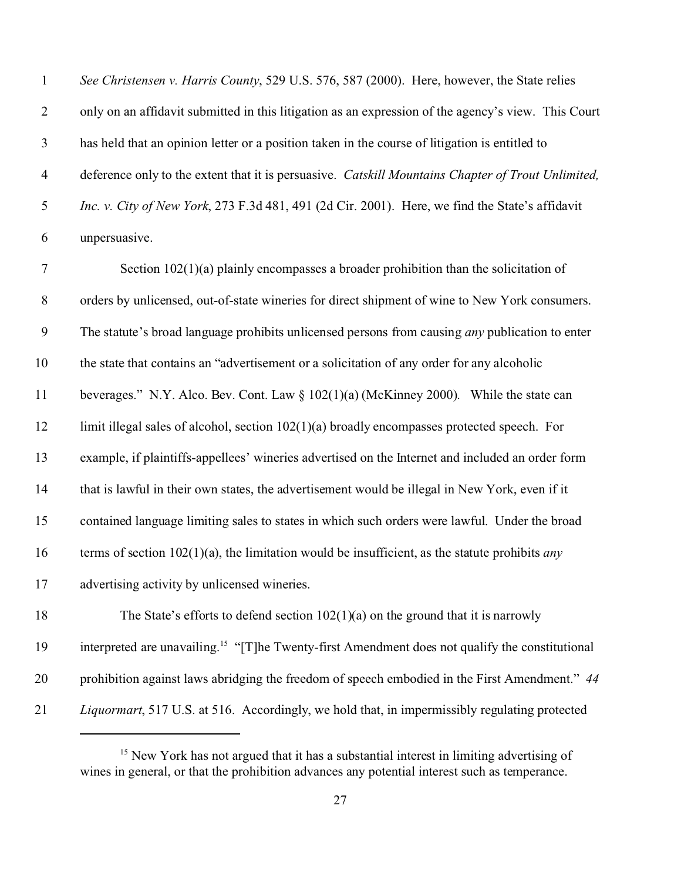| $\mathbf{1}$   | See Christensen v. Harris County, 529 U.S. 576, 587 (2000). Here, however, the State relies         |
|----------------|-----------------------------------------------------------------------------------------------------|
| 2              | only on an affidavit submitted in this litigation as an expression of the agency's view. This Court |
| 3              | has held that an opinion letter or a position taken in the course of litigation is entitled to      |
| $\overline{4}$ | deference only to the extent that it is persuasive. Catskill Mountains Chapter of Trout Unlimited,  |
| 5              | Inc. v. City of New York, 273 F.3d 481, 491 (2d Cir. 2001). Here, we find the State's affidavit     |
| 6              | unpersuasive.                                                                                       |

 Section 102(1)(a) plainly encompasses a broader prohibition than the solicitation of orders by unlicensed, out-of-state wineries for direct shipment of wine to New York consumers. The statute's broad language prohibits unlicensed persons from causing *any* publication to enter the state that contains an "advertisement or a solicitation of any order for any alcoholic beverages." N.Y. Alco. Bev. Cont. Law § 102(1)(a) (McKinney 2000). While the state can 12 limit illegal sales of alcohol, section 102(1)(a) broadly encompasses protected speech. For example, if plaintiffs-appellees' wineries advertised on the Internet and included an order form that is lawful in their own states, the advertisement would be illegal in New York, even if it contained language limiting sales to states in which such orders were lawful.Under the broad terms of section 102(1)(a), the limitation would be insufficient, as the statute prohibits *any* advertising activity by unlicensed wineries. The State's efforts to defend section 102(1)(a) on the ground that it is narrowly 19 interpreted are unavailing.<sup>15</sup> "[T]he Twenty-first Amendment does not qualify the constitutional

prohibition against laws abridging the freedom of speech embodied in the First Amendment." *44*

*Liquormart*, 517 U.S. at 516. Accordingly, we hold that, in impermissibly regulating protected

<sup>&</sup>lt;sup>15</sup> New York has not argued that it has a substantial interest in limiting advertising of wines in general, or that the prohibition advances any potential interest such as temperance.